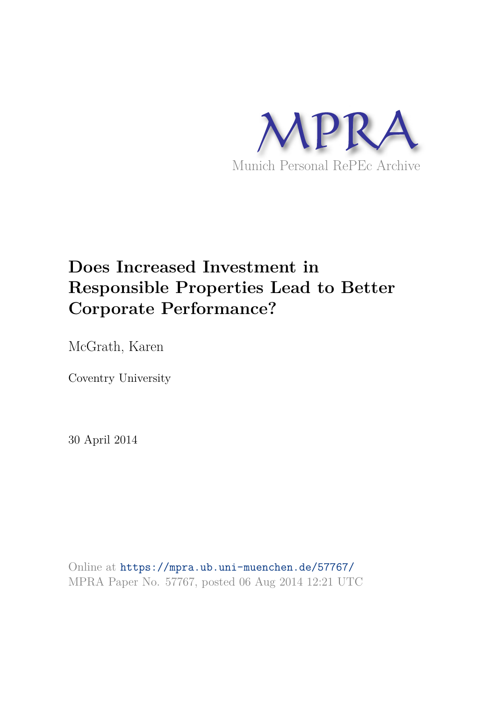

# **Does Increased Investment in Responsible Properties Lead to Better Corporate Performance?**

McGrath, Karen

Coventry University

30 April 2014

Online at https://mpra.ub.uni-muenchen.de/57767/ MPRA Paper No. 57767, posted 06 Aug 2014 12:21 UTC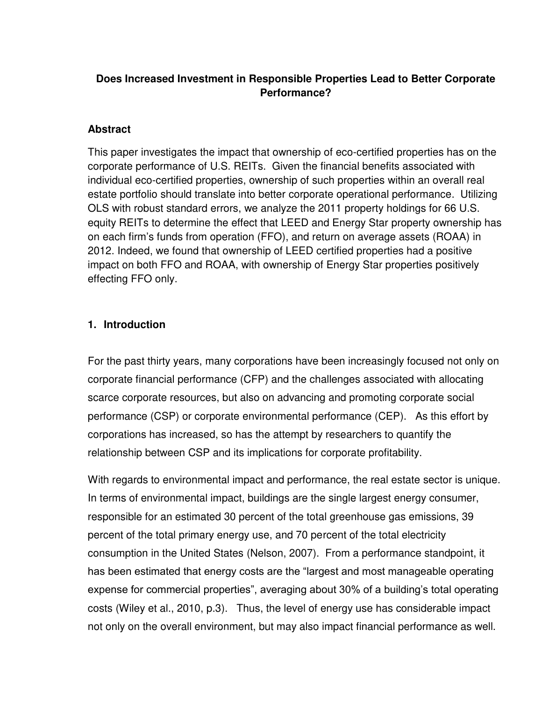#### **Does Increased Investment in Responsible Properties Lead to Better Corporate Performance?**

#### **Abstract**

This paper investigates the impact that ownership of eco-certified properties has on the corporate performance of U.S. REITs. Given the financial benefits associated with individual eco-certified properties, ownership of such properties within an overall real estate portfolio should translate into better corporate operational performance. Utilizing OLS with robust standard errors, we analyze the 2011 property holdings for 66 U.S. equity REITs to determine the effect that LEED and Energy Star property ownership has on each firm's funds from operation (FFO), and return on average assets (ROAA) in 2012. Indeed, we found that ownership of LEED certified properties had a positive impact on both FFO and ROAA, with ownership of Energy Star properties positively effecting FFO only.

#### **1. Introduction**

For the past thirty years, many corporations have been increasingly focused not only on corporate financial performance (CFP) and the challenges associated with allocating scarce corporate resources, but also on advancing and promoting corporate social performance (CSP) or corporate environmental performance (CEP). As this effort by corporations has increased, so has the attempt by researchers to quantify the relationship between CSP and its implications for corporate profitability.

With regards to environmental impact and performance, the real estate sector is unique. In terms of environmental impact, buildings are the single largest energy consumer, responsible for an estimated 30 percent of the total greenhouse gas emissions, 39 percent of the total primary energy use, and 70 percent of the total electricity consumption in the United States [\(Nelson, 2007\)](#page-39-0). From a performance standpoint, it has been estimated that energy costs are the "largest and most manageable operating expense for commercial properties", averaging about 30% of a building's total operating costs [\(Wiley et al., 2010, p.3\)](#page-41-0). Thus, the level of energy use has considerable impact not only on the overall environment, but may also impact financial performance as well.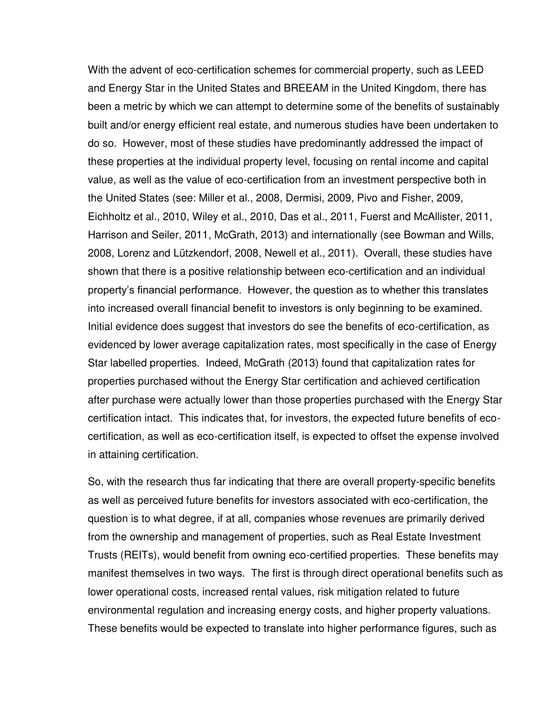With the advent of eco-certification schemes for commercial property, such as LEED and Energy Star in the United States and BREEAM in the United Kingdom, there has been a metric by which we can attempt to determine some of the benefits of sustainably built and/or energy efficient real estate, and numerous studies have been undertaken to do so. However, most of these studies have predominantly addressed the impact of these properties at the individual property level, focusing on rental income and capital value, as well as the value of eco-certification from an investment perspective both in the United States (see: [Miller et al., 2008, Dermisi, 2009,](#page-39-0) [Pivo and Fisher, 2009,](#page-41-1) [Eichholtz et al., 2010,](#page-40-0) [Wiley et al., 2010,](#page-41-0) [Das et al., 2011,](#page-39-0) [Fuerst and McAllister, 2011,](#page-40-1) [Harrison and Seiler, 2011,](#page-40-2) [McGrath, 2013\)](#page-41-2) and internationally (see [Bowman and Wills,](#page-39-0)  [2008,](#page-39-0) [Lorenz and Lützkendorf, 2008,](#page-41-2) [Newell et al., 2011\)](#page-41-3). Overall, these studies have shown that there is a positive relationship between eco-certification and an individual property's financial performance. However, the question as to whether this translates into increased overall financial benefit to investors is only beginning to be examined. Initial evidence does suggest that investors do see the benefits of eco-certification, as evidenced by lower average capitalization rates, most specifically in the case of Energy Star labelled properties. Indeed, McGrath [\(2013\)](#page-41-2) found that capitalization rates for properties purchased without the Energy Star certification and achieved certification after purchase were actually lower than those properties purchased with the Energy Star certification intact. This indicates that, for investors, the expected future benefits of ecocertification, as well as eco-certification itself, is expected to offset the expense involved in attaining certification.

So, with the research thus far indicating that there are overall property-specific benefits as well as perceived future benefits for investors associated with eco-certification, the question is to what degree, if at all, companies whose revenues are primarily derived from the ownership and management of properties, such as Real Estate Investment Trusts (REITs), would benefit from owning eco-certified properties. These benefits may manifest themselves in two ways. The first is through direct operational benefits such as lower operational costs, increased rental values, risk mitigation related to future environmental regulation and increasing energy costs, and higher property valuations. These benefits would be expected to translate into higher performance figures, such as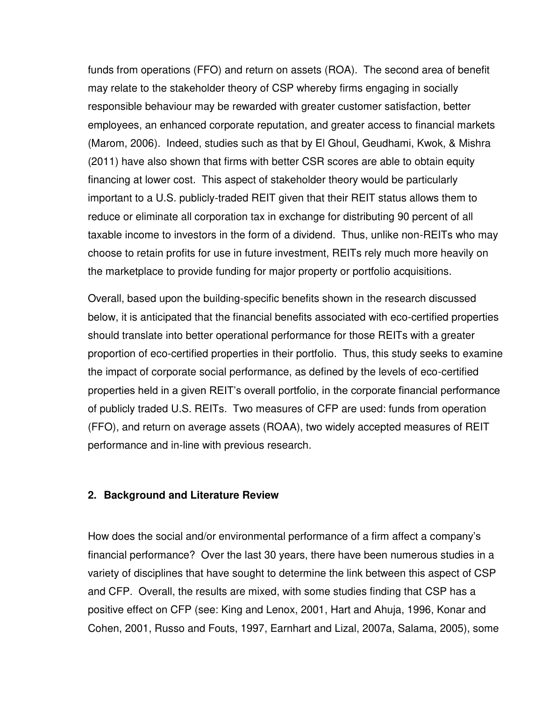funds from operations (FFO) and return on assets (ROA). The second area of benefit may relate to the stakeholder theory of CSP whereby firms engaging in socially responsible behaviour may be rewarded with greater customer satisfaction, better employees, an enhanced corporate reputation, and greater access to financial markets [\(Marom, 2006\)](#page-41-4). Indeed, studies such as that by El Ghoul, Geudhami, Kwok, & Mishra [\(2011\)](#page-40-3) have also shown that firms with better CSR scores are able to obtain equity financing at lower cost. This aspect of stakeholder theory would be particularly important to a U.S. publicly-traded REIT given that their REIT status allows them to reduce or eliminate all corporation tax in exchange for distributing 90 percent of all taxable income to investors in the form of a dividend. Thus, unlike non-REITs who may choose to retain profits for use in future investment, REITs rely much more heavily on the marketplace to provide funding for major property or portfolio acquisitions.

Overall, based upon the building-specific benefits shown in the research discussed below, it is anticipated that the financial benefits associated with eco-certified properties should translate into better operational performance for those REITs with a greater proportion of eco-certified properties in their portfolio. Thus, this study seeks to examine the impact of corporate social performance, as defined by the levels of eco-certified properties held in a given REIT's overall portfolio, in the corporate financial performance of publicly traded U.S. REITs. Two measures of CFP are used: funds from operation (FFO), and return on average assets (ROAA), two widely accepted measures of REIT performance and in-line with previous research.

#### **2. Background and Literature Review**

How does the social and/or environmental performance of a firm affect a company's financial performance? Over the last 30 years, there have been numerous studies in a variety of disciplines that have sought to determine the link between this aspect of CSP and CFP. Overall, the results are mixed, with some studies finding that CSP has a positive effect on CFP (see: [King and Lenox, 2001,](#page-40-4) [Hart and Ahuja, 1996,](#page-40-5) [Konar and](#page-41-5)  [Cohen, 2001,](#page-41-5) [Russo and Fouts, 1997,](#page-41-6) [Earnhart and Lizal, 2007a,](#page-40-6) [Salama, 2005\)](#page-41-7), some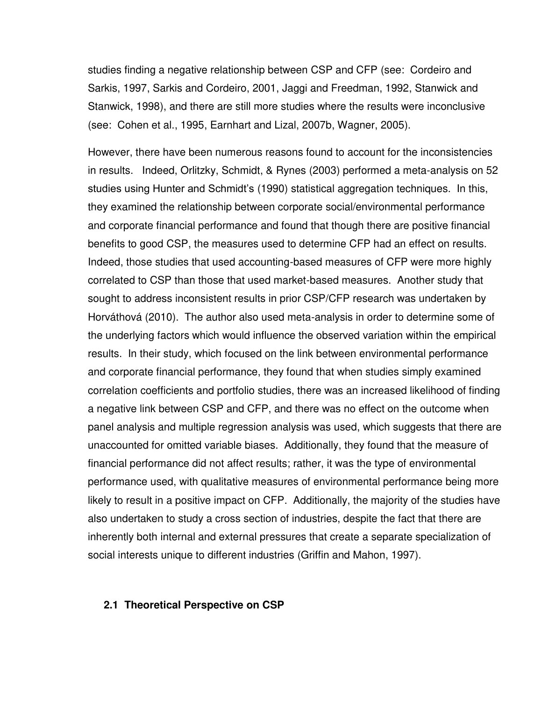studies finding a negative relationship between CSP and CFP (see: [Cordeiro and](#page-40-7)  [Sarkis, 1997,](#page-40-7) [Sarkis and Cordeiro, 2001,](#page-41-8) [Jaggi and Freedman, 1992,](#page-40-8) [Stanwick and](#page-41-9)  [Stanwick, 1998\)](#page-41-9), and there are still more studies where the results were inconclusive (see: [Cohen et al., 1995,](#page-40-7) [Earnhart and Lizal, 2007b,](#page-40-9) [Wagner, 2005\)](#page-41-10).

However, there have been numerous reasons found to account for the inconsistencies in results. Indeed, Orlitzky, Schmidt, & Rynes [\(2003\)](#page-41-1) performed a meta-analysis on 52 studies using Hunter and Schmidt's [\(1990\)](#page-40-8) statistical aggregation techniques. In this, they examined the relationship between corporate social/environmental performance and corporate financial performance and found that though there are positive financial benefits to good CSP, the measures used to determine CFP had an effect on results. Indeed, those studies that used accounting-based measures of CFP were more highly correlated to CSP than those that used market-based measures. Another study that sought to address inconsistent results in prior CSP/CFP research was undertaken by Horváthová [\(2010\)](#page-40-8). The author also used meta-analysis in order to determine some of the underlying factors which would influence the observed variation within the empirical results. In their study, which focused on the link between environmental performance and corporate financial performance, they found that when studies simply examined correlation coefficients and portfolio studies, there was an increased likelihood of finding a negative link between CSP and CFP, and there was no effect on the outcome when panel analysis and multiple regression analysis was used, which suggests that there are unaccounted for omitted variable biases. Additionally, they found that the measure of financial performance did not affect results; rather, it was the type of environmental performance used, with qualitative measures of environmental performance being more likely to result in a positive impact on CFP. Additionally, the majority of the studies have also undertaken to study a cross section of industries, despite the fact that there are inherently both internal and external pressures that create a separate specialization of social interests unique to different industries [\(Griffin and Mahon, 1997\)](#page-40-2).

#### **2.1 Theoretical Perspective on CSP**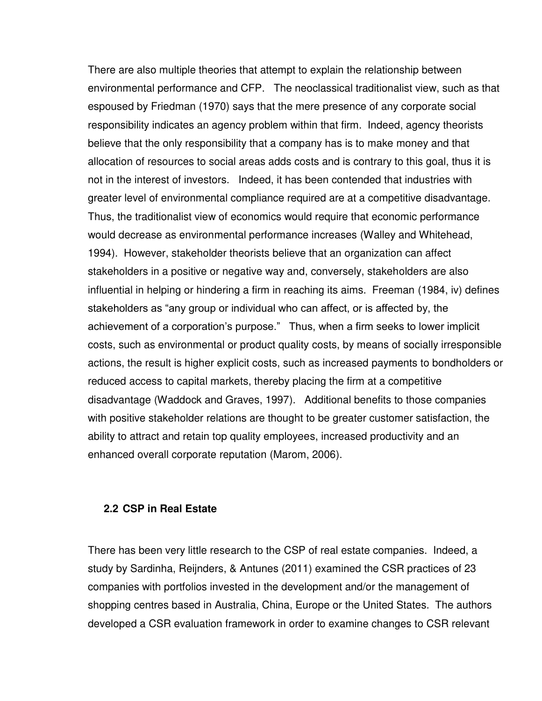There are also multiple theories that attempt to explain the relationship between environmental performance and CFP. The neoclassical traditionalist view, such as that espoused by Friedman [\(1970\)](#page-40-1) says that the mere presence of any corporate social responsibility indicates an agency problem within that firm. Indeed, agency theorists believe that the only responsibility that a company has is to make money and that allocation of resources to social areas adds costs and is contrary to this goal, thus it is not in the interest of investors. Indeed, it has been contended that industries with greater level of environmental compliance required are at a competitive disadvantage. Thus, the traditionalist view of economics would require that economic performance would decrease as environmental performance increases [\(Walley and Whitehead,](#page-41-0)  [1994\)](#page-41-0). However, stakeholder theorists believe that an organization can affect stakeholders in a positive or negative way and, conversely, stakeholders are also influential in helping or hindering a firm in reaching its aims. Freeman [\(1984, iv\)](#page-40-1) defines stakeholders as "any group or individual who can affect, or is affected by, the achievement of a corporation's purpose." Thus, when a firm seeks to lower implicit costs, such as environmental or product quality costs, by means of socially irresponsible actions, the result is higher explicit costs, such as increased payments to bondholders or reduced access to capital markets, thereby placing the firm at a competitive disadvantage [\(Waddock and Graves, 1997\)](#page-41-10). Additional benefits to those companies with positive stakeholder relations are thought to be greater customer satisfaction, the ability to attract and retain top quality employees, increased productivity and an enhanced overall corporate reputation [\(Marom, 2006\)](#page-41-4).

#### **2.2 CSP in Real Estate**

There has been very little research to the CSP of real estate companies. Indeed, a study by Sardinha, Reijnders, & Antunes [\(2011\)](#page-41-8) examined the CSR practices of 23 companies with portfolios invested in the development and/or the management of shopping centres based in Australia, China, Europe or the United States. The authors developed a CSR evaluation framework in order to examine changes to CSR relevant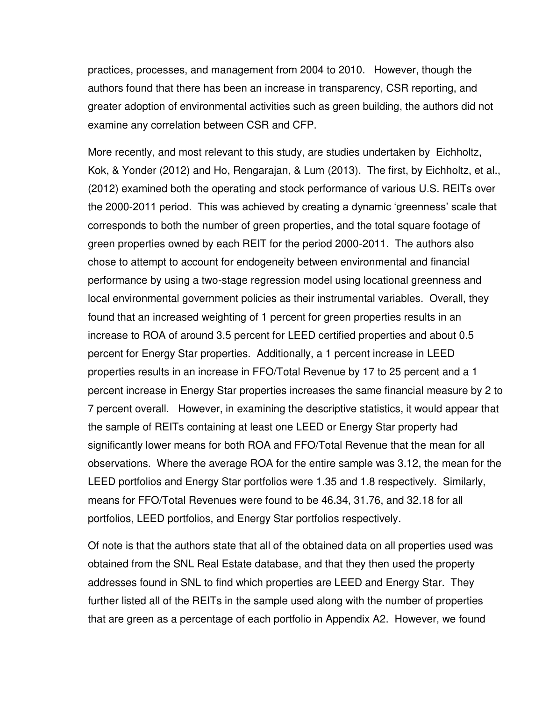practices, processes, and management from 2004 to 2010. However, though the authors found that there has been an increase in transparency, CSR reporting, and greater adoption of environmental activities such as green building, the authors did not examine any correlation between CSR and CFP.

More recently, and most relevant to this study, are studies undertaken by Eichholtz, Kok, & Yonder [\(2012\)](#page-40-3) and Ho, Rengarajan, & Lum [\(2013\)](#page-40-8). The first, by Eichholtz, et al., [\(2012\)](#page-40-3) examined both the operating and stock performance of various U.S. REITs over the 2000-2011 period. This was achieved by creating a dynamic 'greenness' scale that corresponds to both the number of green properties, and the total square footage of green properties owned by each REIT for the period 2000-2011. The authors also chose to attempt to account for endogeneity between environmental and financial performance by using a two-stage regression model using locational greenness and local environmental government policies as their instrumental variables. Overall, they found that an increased weighting of 1 percent for green properties results in an increase to ROA of around 3.5 percent for LEED certified properties and about 0.5 percent for Energy Star properties. Additionally, a 1 percent increase in LEED properties results in an increase in FFO/Total Revenue by 17 to 25 percent and a 1 percent increase in Energy Star properties increases the same financial measure by 2 to 7 percent overall. However, in examining the descriptive statistics, it would appear that the sample of REITs containing at least one LEED or Energy Star property had significantly lower means for both ROA and FFO/Total Revenue that the mean for all observations. Where the average ROA for the entire sample was 3.12, the mean for the LEED portfolios and Energy Star portfolios were 1.35 and 1.8 respectively. Similarly, means for FFO/Total Revenues were found to be 46.34, 31.76, and 32.18 for all portfolios, LEED portfolios, and Energy Star portfolios respectively.

Of note is that the authors state that all of the obtained data on all properties used was obtained from the SNL Real Estate database, and that they then used the property addresses found in SNL to find which properties are LEED and Energy Star. They further listed all of the REITs in the sample used along with the number of properties that are green as a percentage of each portfolio in Appendix A2. However, we found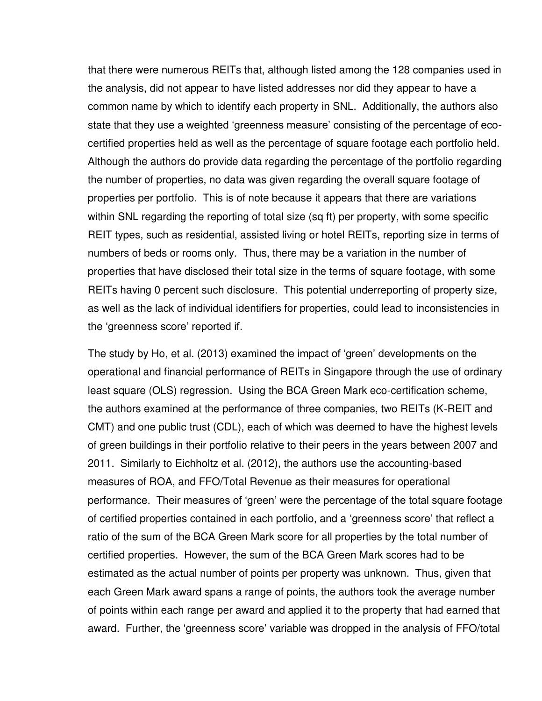that there were numerous REITs that, although listed among the 128 companies used in the analysis, did not appear to have listed addresses nor did they appear to have a common name by which to identify each property in SNL. Additionally, the authors also state that they use a weighted 'greenness measure' consisting of the percentage of ecocertified properties held as well as the percentage of square footage each portfolio held. Although the authors do provide data regarding the percentage of the portfolio regarding the number of properties, no data was given regarding the overall square footage of properties per portfolio. This is of note because it appears that there are variations within SNL regarding the reporting of total size (sq ft) per property, with some specific REIT types, such as residential, assisted living or hotel REITs, reporting size in terms of numbers of beds or rooms only. Thus, there may be a variation in the number of properties that have disclosed their total size in the terms of square footage, with some REITs having 0 percent such disclosure. This potential underreporting of property size, as well as the lack of individual identifiers for properties, could lead to inconsistencies in the 'greenness score' reported if.

The study by Ho, et al. [\(2013\)](#page-40-8) examined the impact of 'green' developments on the operational and financial performance of REITs in Singapore through the use of ordinary least square (OLS) regression. Using the BCA Green Mark eco-certification scheme, the authors examined at the performance of three companies, two REITs (K-REIT and CMT) and one public trust (CDL), each of which was deemed to have the highest levels of green buildings in their portfolio relative to their peers in the years between 2007 and 2011. Similarly to Eichholtz et al. [\(2012\)](#page-40-3), the authors use the accounting-based measures of ROA, and FFO/Total Revenue as their measures for operational performance. Their measures of 'green' were the percentage of the total square footage of certified properties contained in each portfolio, and a 'greenness score' that reflect a ratio of the sum of the BCA Green Mark score for all properties by the total number of certified properties. However, the sum of the BCA Green Mark scores had to be estimated as the actual number of points per property was unknown. Thus, given that each Green Mark award spans a range of points, the authors took the average number of points within each range per award and applied it to the property that had earned that award. Further, the 'greenness score' variable was dropped in the analysis of FFO/total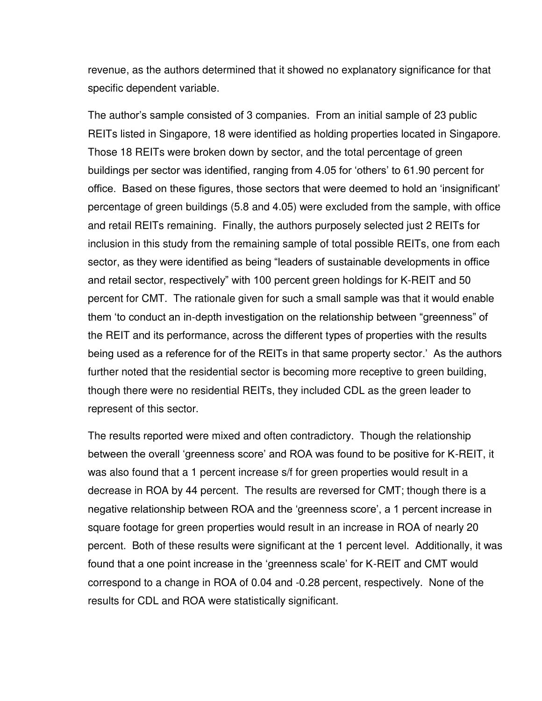revenue, as the authors determined that it showed no explanatory significance for that specific dependent variable.

The author's sample consisted of 3 companies. From an initial sample of 23 public REITs listed in Singapore, 18 were identified as holding properties located in Singapore. Those 18 REITs were broken down by sector, and the total percentage of green buildings per sector was identified, ranging from 4.05 for 'others' to 61.90 percent for office. Based on these figures, those sectors that were deemed to hold an 'insignificant' percentage of green buildings (5.8 and 4.05) were excluded from the sample, with office and retail REITs remaining. Finally, the authors purposely selected just 2 REITs for inclusion in this study from the remaining sample of total possible REITs, one from each sector, as they were identified as being "leaders of sustainable developments in office and retail sector, respectively" with 100 percent green holdings for K-REIT and 50 percent for CMT. The rationale given for such a small sample was that it would enable them 'to conduct an in-depth investigation on the relationship between "greenness" of the REIT and its performance, across the different types of properties with the results being used as a reference for of the REITs in that same property sector.' As the authors further noted that the residential sector is becoming more receptive to green building, though there were no residential REITs, they included CDL as the green leader to represent of this sector.

The results reported were mixed and often contradictory. Though the relationship between the overall 'greenness score' and ROA was found to be positive for K-REIT, it was also found that a 1 percent increase s/f for green properties would result in a decrease in ROA by 44 percent. The results are reversed for CMT; though there is a negative relationship between ROA and the 'greenness score', a 1 percent increase in square footage for green properties would result in an increase in ROA of nearly 20 percent. Both of these results were significant at the 1 percent level. Additionally, it was found that a one point increase in the 'greenness scale' for K-REIT and CMT would correspond to a change in ROA of 0.04 and -0.28 percent, respectively. None of the results for CDL and ROA were statistically significant.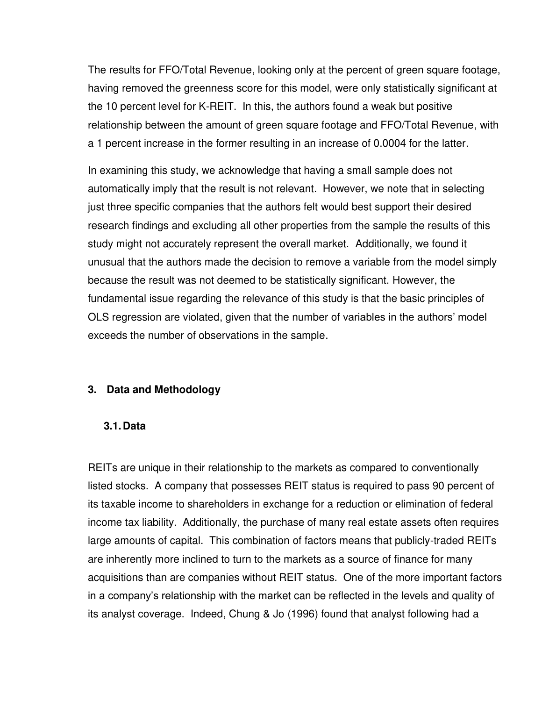The results for FFO/Total Revenue, looking only at the percent of green square footage, having removed the greenness score for this model, were only statistically significant at the 10 percent level for K-REIT. In this, the authors found a weak but positive relationship between the amount of green square footage and FFO/Total Revenue, with a 1 percent increase in the former resulting in an increase of 0.0004 for the latter.

In examining this study, we acknowledge that having a small sample does not automatically imply that the result is not relevant. However, we note that in selecting just three specific companies that the authors felt would best support their desired research findings and excluding all other properties from the sample the results of this study might not accurately represent the overall market. Additionally, we found it unusual that the authors made the decision to remove a variable from the model simply because the result was not deemed to be statistically significant. However, the fundamental issue regarding the relevance of this study is that the basic principles of OLS regression are violated, given that the number of variables in the authors' model exceeds the number of observations in the sample.

#### **3. Data and Methodology**

#### **3.1. Data**

REITs are unique in their relationship to the markets as compared to conventionally listed stocks. A company that possesses REIT status is required to pass 90 percent of its taxable income to shareholders in exchange for a reduction or elimination of federal income tax liability. Additionally, the purchase of many real estate assets often requires large amounts of capital. This combination of factors means that publicly-traded REITs are inherently more inclined to turn to the markets as a source of finance for many acquisitions than are companies without REIT status. One of the more important factors in a company's relationship with the market can be reflected in the levels and quality of its analyst coverage. Indeed, Chung & Jo (1996) found that analyst following had a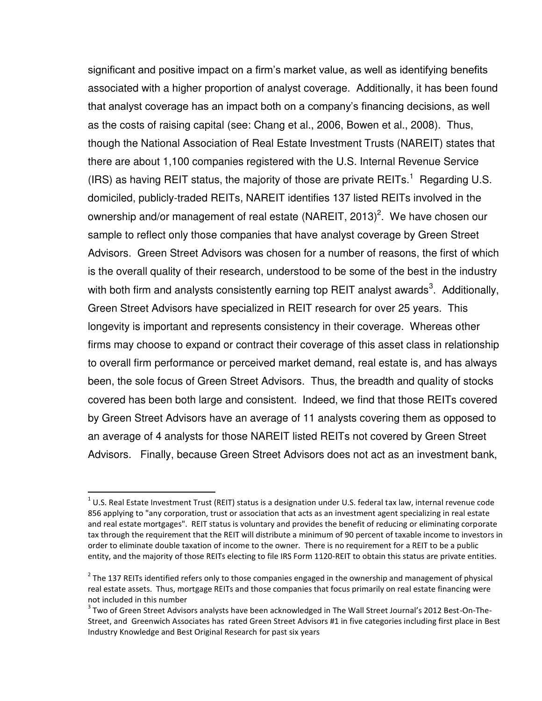significant and positive impact on a firm's market value, as well as identifying benefits associated with a higher proportion of analyst coverage. Additionally, it has been found that analyst coverage has an impact both on a company's financing decisions, as well as the costs of raising capital (see: Chang et al., 2006, Bowen et al., 2008). Thus, though the National Association of Real Estate Investment Trusts (NAREIT) states that there are about 1,100 companies registered with the U.S. Internal Revenue Service (IRS) as having REIT status, the majority of those are private REITs.<sup>1</sup> Regarding U.S. domiciled, publicly-traded REITs, NAREIT identifies 137 listed REITs involved in the ownership and/or management of real estate (NAREIT, 2013)<sup>2</sup>. We have chosen our sample to reflect only those companies that have analyst coverage by Green Street Advisors. Green Street Advisors was chosen for a number of reasons, the first of which is the overall quality of their research, understood to be some of the best in the industry with both firm and analysts consistently earning top REIT analyst awards<sup>3</sup>. Additionally, Green Street Advisors have specialized in REIT research for over 25 years. This longevity is important and represents consistency in their coverage. Whereas other firms may choose to expand or contract their coverage of this asset class in relationship to overall firm performance or perceived market demand, real estate is, and has always been, the sole focus of Green Street Advisors. Thus, the breadth and quality of stocks covered has been both large and consistent. Indeed, we find that those REITs covered by Green Street Advisors have an average of 11 analysts covering them as opposed to an average of 4 analysts for those NAREIT listed REITs not covered by Green Street Advisors. Finally, because Green Street Advisors does not act as an investment bank,

 $\overline{a}$ 

<sup>&</sup>lt;sup>1</sup> U.S. Real Estate Investment Trust (REIT) status is a designation under U.S. federal tax law, internal revenue code 856 applying to "any corporation, trust or association that acts as an investment agent specializing in real estate and real estate mortgages". REIT status is voluntary and provides the benefit of reducing or eliminating corporate tax through the requirement that the REIT will distribute a minimum of 90 percent of taxable income to investors in order to eliminate double taxation of income to the owner. There is no requirement for a REIT to be a public entity, and the majority of those REITs electing to file IRS Form 1120-REIT to obtain this status are private entities.

 $2$  The 137 REITs identified refers only to those companies engaged in the ownership and management of physical real estate assets. Thus, mortgage REITs and those companies that focus primarily on real estate financing were not included in this number

<sup>&</sup>lt;sup>3</sup> Two of Green Street Advisors analysts have been acknowledged in The Wall Street Journal's 2012 Best-On-The-Street, and Greenwich Associates has rated Green Street Advisors #1 in five categories including first place i[n Best](http://www.greenstreetadvisors.com/pdf/Best_Industry_Knowledge.pdf)  [Industry Knowledge and Best Original Research](http://www.greenstreetadvisors.com/pdf/Best_Industry_Knowledge.pdf) for past six years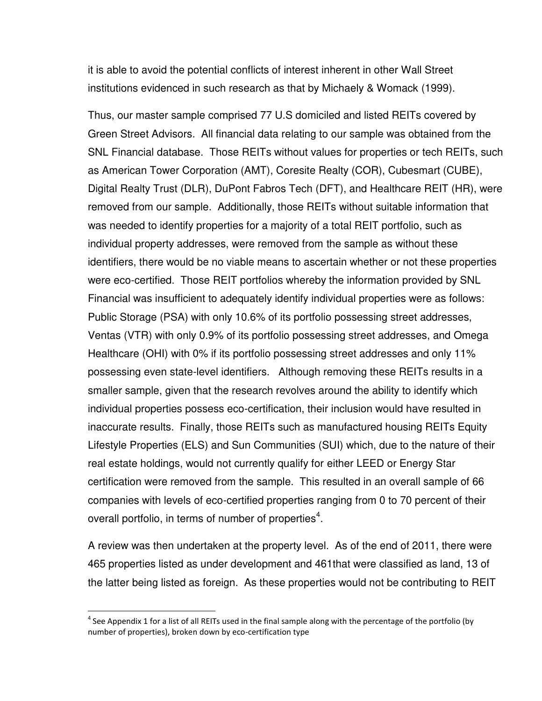it is able to avoid the potential conflicts of interest inherent in other Wall Street institutions evidenced in such research as that by Michaely & Womack (1999).

Thus, our master sample comprised 77 U.S domiciled and listed REITs covered by Green Street Advisors. All financial data relating to our sample was obtained from the SNL Financial database. Those REITs without values for properties or tech REITs, such as American Tower Corporation (AMT), Coresite Realty (COR), Cubesmart (CUBE), Digital Realty Trust (DLR), DuPont Fabros Tech (DFT), and Healthcare REIT (HR), were removed from our sample. Additionally, those REITs without suitable information that was needed to identify properties for a majority of a total REIT portfolio, such as individual property addresses, were removed from the sample as without these identifiers, there would be no viable means to ascertain whether or not these properties were eco-certified. Those REIT portfolios whereby the information provided by SNL Financial was insufficient to adequately identify individual properties were as follows: Public Storage (PSA) with only 10.6% of its portfolio possessing street addresses, Ventas (VTR) with only 0.9% of its portfolio possessing street addresses, and Omega Healthcare (OHI) with 0% if its portfolio possessing street addresses and only 11% possessing even state-level identifiers. Although removing these REITs results in a smaller sample, given that the research revolves around the ability to identify which individual properties possess eco-certification, their inclusion would have resulted in inaccurate results. Finally, those REITs such as manufactured housing REITs Equity Lifestyle Properties (ELS) and Sun Communities (SUI) which, due to the nature of their real estate holdings, would not currently qualify for either LEED or Energy Star certification were removed from the sample. This resulted in an overall sample of 66 companies with levels of eco-certified properties ranging from 0 to 70 percent of their overall portfolio, in terms of number of properties<sup>4</sup>.

A review was then undertaken at the property level. As of the end of 2011, there were 465 properties listed as under development and 461that were classified as land, 13 of the latter being listed as foreign. As these properties would not be contributing to REIT

 $\overline{a}$ 

<sup>&</sup>lt;sup>4</sup> See Appendix 1 for a list of all REITs used in the final sample along with the percentage of the portfolio (by number of properties), broken down by eco-certification type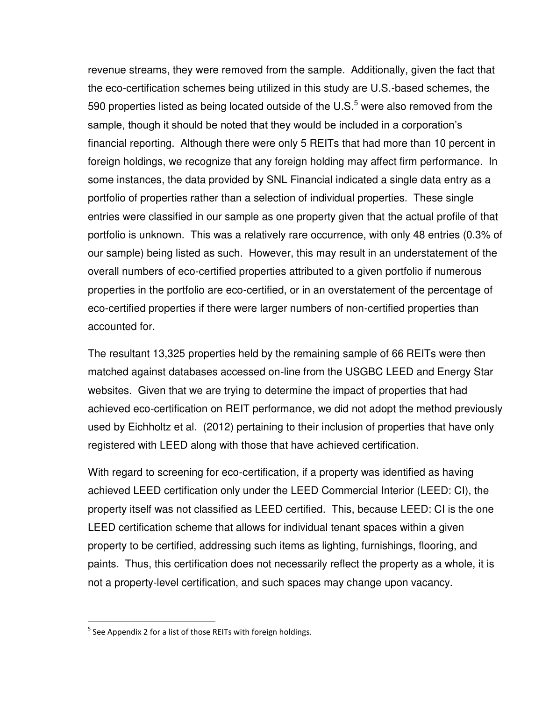revenue streams, they were removed from the sample. Additionally, given the fact that the eco-certification schemes being utilized in this study are U.S.-based schemes, the 590 properties listed as being located outside of the U.S. $5$  were also removed from the sample, though it should be noted that they would be included in a corporation's financial reporting. Although there were only 5 REITs that had more than 10 percent in foreign holdings, we recognize that any foreign holding may affect firm performance. In some instances, the data provided by SNL Financial indicated a single data entry as a portfolio of properties rather than a selection of individual properties. These single entries were classified in our sample as one property given that the actual profile of that portfolio is unknown. This was a relatively rare occurrence, with only 48 entries (0.3% of our sample) being listed as such. However, this may result in an understatement of the overall numbers of eco-certified properties attributed to a given portfolio if numerous properties in the portfolio are eco-certified, or in an overstatement of the percentage of eco-certified properties if there were larger numbers of non-certified properties than accounted for.

The resultant 13,325 properties held by the remaining sample of 66 REITs were then matched against databases accessed on-line from the USGBC LEED and Energy Star websites. Given that we are trying to determine the impact of properties that had achieved eco-certification on REIT performance, we did not adopt the method previously used by Eichholtz et al. [\(2012\)](#page-40-3) pertaining to their inclusion of properties that have only registered with LEED along with those that have achieved certification.

With regard to screening for eco-certification, if a property was identified as having achieved LEED certification only under the LEED Commercial Interior (LEED: CI), the property itself was not classified as LEED certified. This, because LEED: CI is the one LEED certification scheme that allows for individual tenant spaces within a given property to be certified, addressing such items as lighting, furnishings, flooring, and paints. Thus, this certification does not necessarily reflect the property as a whole, it is not a property-level certification, and such spaces may change upon vacancy.

 $<sup>5</sup>$  See Appendix 2 for a list of those REITs with foreign holdings.</sup>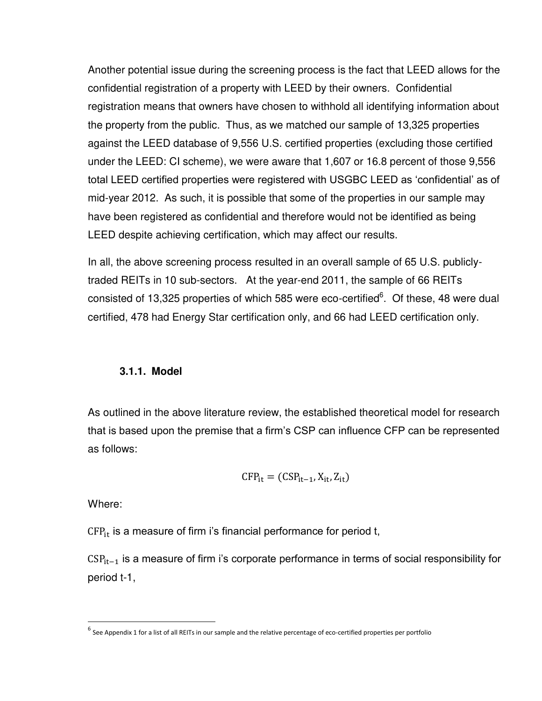Another potential issue during the screening process is the fact that LEED allows for the confidential registration of a property with LEED by their owners. Confidential registration means that owners have chosen to withhold all identifying information about the property from the public. Thus, as we matched our sample of 13,325 properties against the LEED database of 9,556 U.S. certified properties (excluding those certified under the LEED: CI scheme), we were aware that 1,607 or 16.8 percent of those 9,556 total LEED certified properties were registered with USGBC LEED as 'confidential' as of mid-year 2012. As such, it is possible that some of the properties in our sample may have been registered as confidential and therefore would not be identified as being LEED despite achieving certification, which may affect our results.

In all, the above screening process resulted in an overall sample of 65 U.S. publiclytraded REITs in 10 sub-sectors. At the year-end 2011, the sample of 66 REITs consisted of 13,325 properties of which 585 were eco-certified $6$ . Of these, 48 were dual certified, 478 had Energy Star certification only, and 66 had LEED certification only.

#### **3.1.1. Model**

As outlined in the above literature review, the established theoretical model for research that is based upon the premise that a firm's CSP can influence CFP can be represented as follows:

$$
\text{CFP}_{it} = (\text{CSP}_{it-1}, X_{it}, Z_{it})
$$

Where:

 $CFP_{it}$  is a measure of firm i's financial performance for period t,

 $CSP_{it-1}$  is a measure of firm i's corporate performance in terms of social responsibility for period t-1,

<sup>&</sup>lt;sup>6</sup> See Appendix 1 for a list of all REITs in our sample and the relative percentage of eco-certified properties per portfolio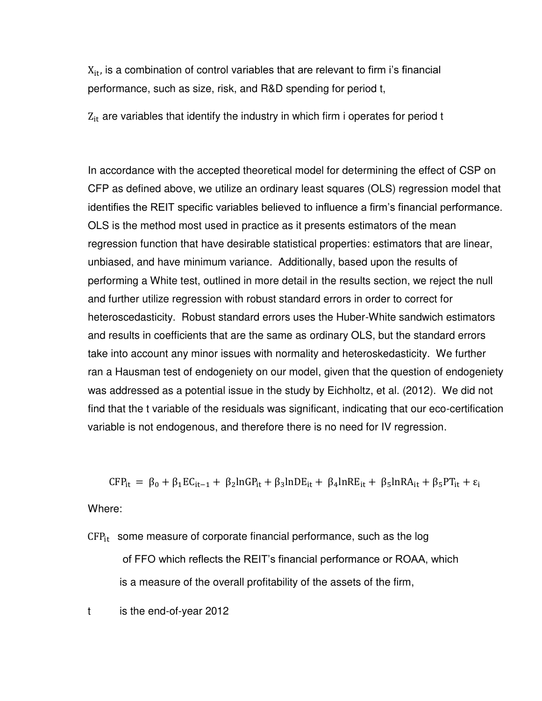$X_{it}$ , is a combination of control variables that are relevant to firm i's financial performance, such as size, risk, and R&D spending for period t,

 $Z_{it}$  are variables that identify the industry in which firm i operates for period t

In accordance with the accepted theoretical model for determining the effect of CSP on CFP as defined above, we utilize an ordinary least squares (OLS) regression model that identifies the REIT specific variables believed to influence a firm's financial performance. OLS is the method most used in practice as it presents estimators of the mean regression function that have desirable statistical properties: estimators that are linear, unbiased, and have minimum variance. Additionally, based upon the results of performing a White test, outlined in more detail in the results section, we reject the null and further utilize regression with robust standard errors in order to correct for heteroscedasticity. Robust standard errors uses the Huber-White sandwich estimators and results in coefficients that are the same as ordinary OLS, but the standard errors take into account any minor issues with normality and heteroskedasticity. We further ran a Hausman test of endogeniety on our model, given that the question of endogeniety was addressed as a potential issue in the study by Eichholtz, et al. [\(2012\)](#page-40-3). We did not find that the t variable of the residuals was significant, indicating that our eco-certification variable is not endogenous, and therefore there is no need for IV regression.

 $CFP_{it} = \beta_0 + \beta_1 EC_{it-1} + \beta_2 lnGP_{it} + \beta_3 lnDE_{it} + \beta_4 lnRE_{it} + \beta_5 lnRA_{it} + \beta_5 PT_{it} + \varepsilon_i$ 

Where:

 $CFP_{it}$  some measure of corporate financial performance, such as the log of FFO which reflects the REIT's financial performance or ROAA, which is a measure of the overall profitability of the assets of the firm,

t is the end-of-year 2012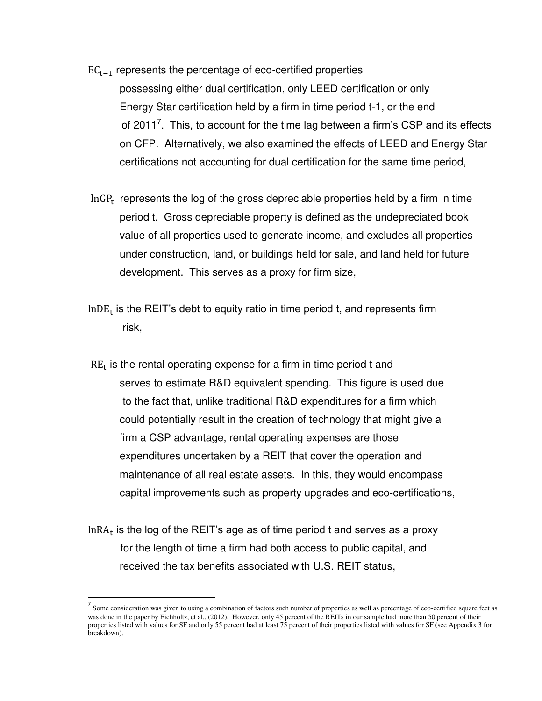- $EC_{t-1}$  represents the percentage of eco-certified properties possessing either dual certification, only LEED certification or only Energy Star certification held by a firm in time period t-1, or the end of 2011<sup>7</sup>. This, to account for the time lag between a firm's CSP and its effects on CFP. Alternatively, we also examined the effects of LEED and Energy Star certifications not accounting for dual certification for the same time period,
- InGP<sub>t</sub> represents the log of the gross depreciable properties held by a firm in time period t. Gross depreciable property is defined as the undepreciated book value of all properties used to generate income, and excludes all properties under construction, land, or buildings held for sale, and land held for future development. This serves as a proxy for firm size,
- In $\rm DE_{t}$  is the REIT's debt to equity ratio in time period t, and represents firm risk,
- $RE<sub>t</sub>$  is the rental operating expense for a firm in time period t and serves to estimate R&D equivalent spending. This figure is used due to the fact that, unlike traditional R&D expenditures for a firm which could potentially result in the creation of technology that might give a firm a CSP advantage, rental operating expenses are those expenditures undertaken by a REIT that cover the operation and maintenance of all real estate assets. In this, they would encompass capital improvements such as property upgrades and eco-certifications,
- $\mathrm{lnRA}_{\mathrm{t}}$  is the log of the REIT's age as of time period  $\mathrm{t}$  and serves as a proxy for the length of time a firm had both access to public capital, and received the tax benefits associated with U.S. REIT status,

<sup>7</sup> Some consideration was given to using a combination of factors such number of properties as well as percentage of eco-certified square feet as was done in the paper by Eichholtz, et al., (2012). However, only 45 percent of the REITs in our sample had more than 50 percent of their properties listed with values for SF and only 55 percent had at least 75 percent of their properties listed with values for SF (see Appendix 3 for breakdown).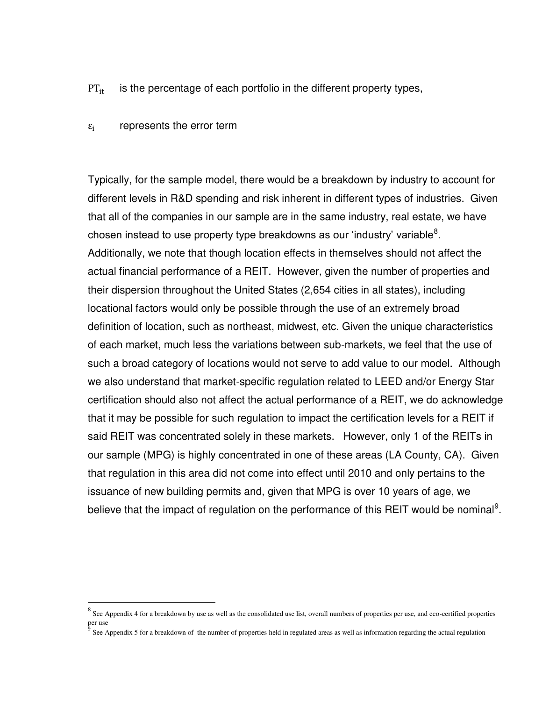$PT_{it}$  is the percentage of each portfolio in the different property types,

#### $\varepsilon_i$ represents the error term

Typically, for the sample model, there would be a breakdown by industry to account for different levels in R&D spending and risk inherent in different types of industries. Given that all of the companies in our sample are in the same industry, real estate, we have chosen instead to use property type breakdowns as our 'industry' variable ${}^{8}$ . Additionally, we note that though location effects in themselves should not affect the actual financial performance of a REIT. However, given the number of properties and their dispersion throughout the United States (2,654 cities in all states), including locational factors would only be possible through the use of an extremely broad definition of location, such as northeast, midwest, etc. Given the unique characteristics of each market, much less the variations between sub-markets, we feel that the use of such a broad category of locations would not serve to add value to our model. Although we also understand that market-specific regulation related to LEED and/or Energy Star certification should also not affect the actual performance of a REIT, we do acknowledge that it may be possible for such regulation to impact the certification levels for a REIT if said REIT was concentrated solely in these markets. However, only 1 of the REITs in our sample (MPG) is highly concentrated in one of these areas (LA County, CA). Given that regulation in this area did not come into effect until 2010 and only pertains to the issuance of new building permits and, given that MPG is over 10 years of age, we believe that the impact of regulation on the performance of this REIT would be nominal<sup>9</sup>.

<sup>&</sup>lt;sup>8</sup> See Appendix 4 for a breakdown by use as well as the consolidated use list, overall numbers of properties per use, and eco-certified properties per use 9

See Appendix 5 for a breakdown of the number of properties held in regulated areas as well as information regarding the actual regulation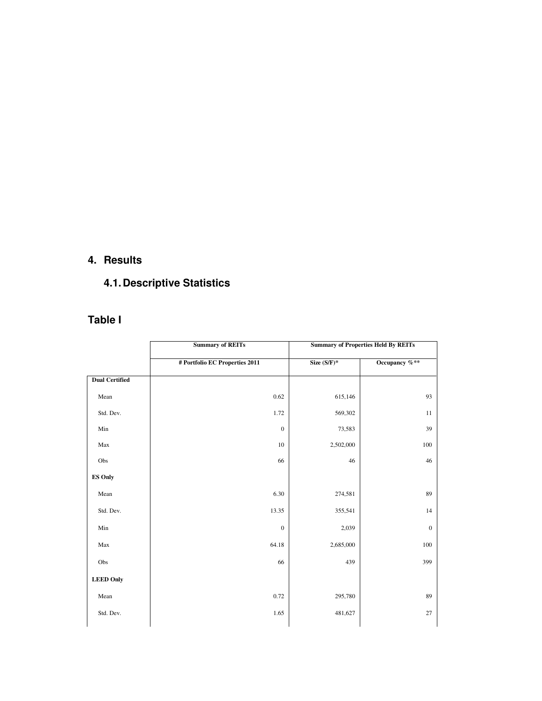#### **4. Results**

### **4.1. Descriptive Statistics**

### **Table I**

|                       | <b>Summary of REITs</b>        | <b>Summary of Properties Held By REITs</b> |               |  |  |  |
|-----------------------|--------------------------------|--------------------------------------------|---------------|--|--|--|
|                       | # Portfolio EC Properties 2011 | Size $(S/F)^*$                             | Occupancy %** |  |  |  |
| <b>Dual Certified</b> |                                |                                            |               |  |  |  |
| Mean                  | 0.62                           | 615,146                                    | 93            |  |  |  |
| Std. Dev.             | 1.72                           | 569,302                                    | 11            |  |  |  |
| Min                   | $\mathbf{0}$                   | 73,583                                     | 39            |  |  |  |
| Max                   | 10                             | 2,502,000                                  | 100           |  |  |  |
| Obs                   | 66                             | 46                                         | 46            |  |  |  |
| <b>ES Only</b>        |                                |                                            |               |  |  |  |
| Mean                  | 6.30                           | 274,581                                    | 89            |  |  |  |
| Std. Dev.             | 13.35                          | 355,541                                    | 14            |  |  |  |
| Min                   | $\mathbf{0}$                   | 2,039                                      | $\mathbf{0}$  |  |  |  |
| Max                   | 64.18                          | 2,685,000                                  | 100           |  |  |  |
| Obs                   | 66                             | 439                                        | 399           |  |  |  |
| <b>LEED Only</b>      |                                |                                            |               |  |  |  |
| Mean                  | 0.72                           | 295,780                                    | 89            |  |  |  |
| Std. Dev.             | 1.65                           | 481,627                                    | 27            |  |  |  |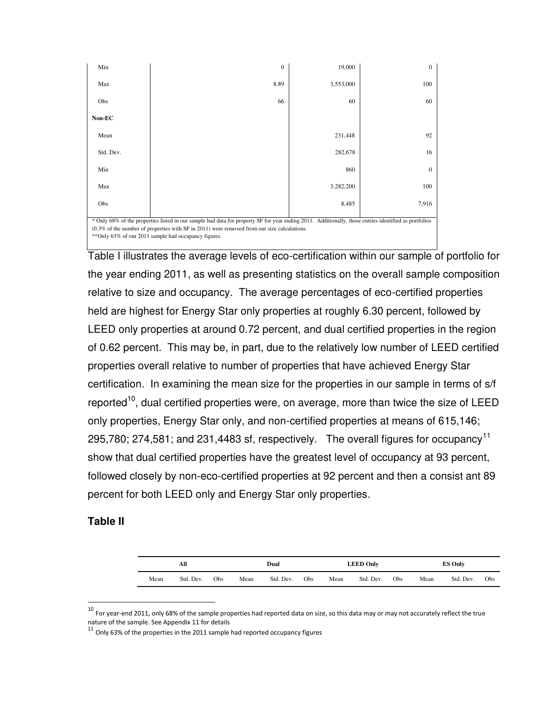| Min                                                                                                                                                                                                                                                     | $\mathbf{0}$                                          | 19,000    | $\Omega$ |  |  |  |
|---------------------------------------------------------------------------------------------------------------------------------------------------------------------------------------------------------------------------------------------------------|-------------------------------------------------------|-----------|----------|--|--|--|
| Max                                                                                                                                                                                                                                                     | 8.89                                                  | 3,553,000 | 100      |  |  |  |
| Obs                                                                                                                                                                                                                                                     | 66                                                    | 60        | 60       |  |  |  |
| Non-EC                                                                                                                                                                                                                                                  |                                                       |           |          |  |  |  |
| Mean                                                                                                                                                                                                                                                    |                                                       | 231,448   | 92       |  |  |  |
| Std. Dev.                                                                                                                                                                                                                                               |                                                       | 282,678   | 16       |  |  |  |
| Min                                                                                                                                                                                                                                                     |                                                       | 860       | $\Omega$ |  |  |  |
| Max                                                                                                                                                                                                                                                     |                                                       | 3,282,200 | 100      |  |  |  |
| Obs                                                                                                                                                                                                                                                     |                                                       | 8,485     | 7,916    |  |  |  |
| * Only 68% of the properties listed in our sample had data for property SF for year ending 2011. Additionally, those entries identified as portfolios<br>$(0.3\%$ of the number of properties with SF in 2011) were removed from our size calculations. |                                                       |           |          |  |  |  |
|                                                                                                                                                                                                                                                         | ** Only 63% of our 2011 sample had occupancy figures. |           |          |  |  |  |

Table I illustrates the average levels of eco-certification within our sample of portfolio for the year ending 2011, as well as presenting statistics on the overall sample composition relative to size and occupancy. The average percentages of eco-certified properties held are highest for Energy Star only properties at roughly 6.30 percent, followed by LEED only properties at around 0.72 percent, and dual certified properties in the region of 0.62 percent. This may be, in part, due to the relatively low number of LEED certified properties overall relative to number of properties that have achieved Energy Star certification. In examining the mean size for the properties in our sample in terms of s/f reported<sup>10</sup>, dual certified properties were, on average, more than twice the size of LEED only properties, Energy Star only, and non-certified properties at means of 615,146; 295,780; 274,581; and 231,4483 sf, respectively. The overall figures for occupancy<sup>11</sup> show that dual certified properties have the greatest level of occupancy at 93 percent, followed closely by non-eco-certified properties at 92 percent and then a consist ant 89 percent for both LEED only and Energy Star only properties.

#### **Table II**

|      | All<br>Dual |     |      |           | <b>LEED Only</b> |      |           |     |      | <b>ES Only</b> |     |  |
|------|-------------|-----|------|-----------|------------------|------|-----------|-----|------|----------------|-----|--|
| Mean | Std. Dev.   | Obs | Mean | Std. Dev. | Obs              | Mean | Std. Dev. | Obs | Mean | Std. Dev.      | Obs |  |

 $^{10}$  For year-end 2011, only 68% of the sample properties had reported data on size, so this data may or may not accurately reflect the true nature of the sample. See Appendix 11 for details

 $11$  Only 63% of the properties in the 2011 sample had reported occupancy figures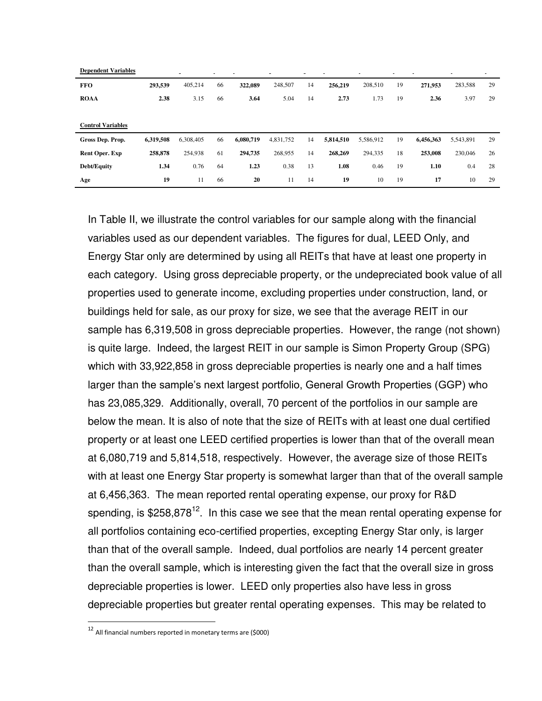| <b>Dependent Variables</b> |           | $\sim$    | $\overline{\phantom{a}}$ |           |           | $\overline{\phantom{0}}$ |           |           |    | -         | $\overline{\phantom{0}}$ | -  |
|----------------------------|-----------|-----------|--------------------------|-----------|-----------|--------------------------|-----------|-----------|----|-----------|--------------------------|----|
| <b>FFO</b>                 | 293,539   | 405.214   | 66                       | 322,089   | 248,507   | 14                       | 256,219   | 208,510   | 19 | 271.953   | 283,588                  | 29 |
| <b>ROAA</b>                | 2.38      | 3.15      | 66                       | 3.64      | 5.04      | 14                       | 2.73      | 1.73      | 19 | 2.36      | 3.97                     | 29 |
|                            |           |           |                          |           |           |                          |           |           |    |           |                          |    |
| <b>Control Variables</b>   |           |           |                          |           |           |                          |           |           |    |           |                          |    |
| Gross Dep. Prop.           | 6,319,508 | 6,308,405 | 66                       | 6,080,719 | 4,831,752 | 14                       | 5,814,510 | 5,586,912 | 19 | 6,456,363 | 5,543,891                | 29 |
| <b>Rent Oper. Exp</b>      | 258,878   | 254,938   | 61                       | 294,735   | 268,955   | 14                       | 268,269   | 294,335   | 18 | 253,008   | 230,046                  | 26 |
| Debt/Equity                | 1.34      | 0.76      | 64                       | 1.23      | 0.38      | 13                       | 1.08      | 0.46      | 19 | 1.10      | 0.4                      | 28 |
| Age                        | 19        | 11        | 66                       | 20        | 11        | 14                       | 19        | 10        | 19 | 17        | 10                       | 29 |

In Table II, we illustrate the control variables for our sample along with the financial variables used as our dependent variables. The figures for dual, LEED Only, and Energy Star only are determined by using all REITs that have at least one property in each category. Using gross depreciable property, or the undepreciated book value of all properties used to generate income, excluding properties under construction, land, or buildings held for sale, as our proxy for size, we see that the average REIT in our sample has 6,319,508 in gross depreciable properties. However, the range (not shown) is quite large. Indeed, the largest REIT in our sample is Simon Property Group (SPG) which with 33,922,858 in gross depreciable properties is nearly one and a half times larger than the sample's next largest portfolio, General Growth Properties (GGP) who has 23,085,329. Additionally, overall, 70 percent of the portfolios in our sample are below the mean. It is also of note that the size of REITs with at least one dual certified property or at least one LEED certified properties is lower than that of the overall mean at 6,080,719 and 5,814,518, respectively. However, the average size of those REITs with at least one Energy Star property is somewhat larger than that of the overall sample at 6,456,363. The mean reported rental operating expense, our proxy for R&D spending, is \$258,878<sup>12</sup>. In this case we see that the mean rental operating expense for all portfolios containing eco-certified properties, excepting Energy Star only, is larger than that of the overall sample. Indeed, dual portfolios are nearly 14 percent greater than the overall sample, which is interesting given the fact that the overall size in gross depreciable properties is lower. LEED only properties also have less in gross depreciable properties but greater rental operating expenses. This may be related to

<sup>12</sup> All financial numbers reported in monetary terms are (\$000)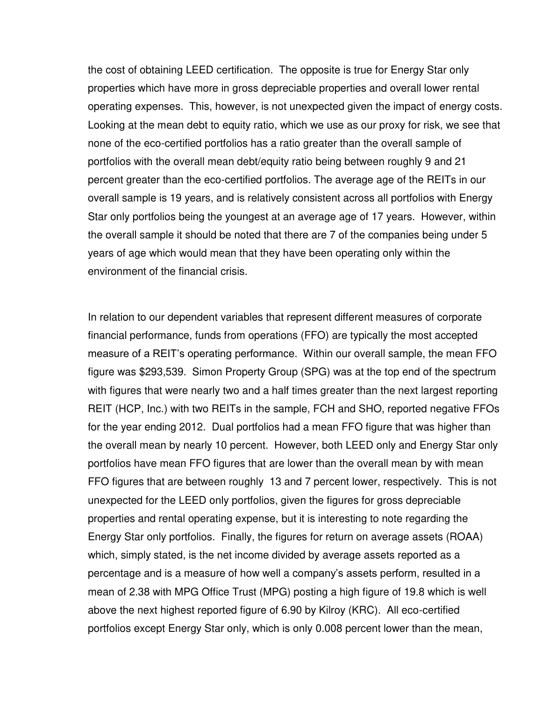the cost of obtaining LEED certification. The opposite is true for Energy Star only properties which have more in gross depreciable properties and overall lower rental operating expenses. This, however, is not unexpected given the impact of energy costs. Looking at the mean debt to equity ratio, which we use as our proxy for risk, we see that none of the eco-certified portfolios has a ratio greater than the overall sample of portfolios with the overall mean debt/equity ratio being between roughly 9 and 21 percent greater than the eco-certified portfolios. The average age of the REITs in our overall sample is 19 years, and is relatively consistent across all portfolios with Energy Star only portfolios being the youngest at an average age of 17 years. However, within the overall sample it should be noted that there are 7 of the companies being under 5 years of age which would mean that they have been operating only within the environment of the financial crisis.

In relation to our dependent variables that represent different measures of corporate financial performance, funds from operations (FFO) are typically the most accepted measure of a REIT's operating performance. Within our overall sample, the mean FFO figure was \$293,539. Simon Property Group (SPG) was at the top end of the spectrum with figures that were nearly two and a half times greater than the next largest reporting REIT (HCP, Inc.) with two REITs in the sample, FCH and SHO, reported negative FFOs for the year ending 2012. Dual portfolios had a mean FFO figure that was higher than the overall mean by nearly 10 percent. However, both LEED only and Energy Star only portfolios have mean FFO figures that are lower than the overall mean by with mean FFO figures that are between roughly 13 and 7 percent lower, respectively. This is not unexpected for the LEED only portfolios, given the figures for gross depreciable properties and rental operating expense, but it is interesting to note regarding the Energy Star only portfolios. Finally, the figures for return on average assets (ROAA) which, simply stated, is the net income divided by average assets reported as a percentage and is a measure of how well a company's assets perform, resulted in a mean of 2.38 with MPG Office Trust (MPG) posting a high figure of 19.8 which is well above the next highest reported figure of 6.90 by Kilroy (KRC). All eco-certified portfolios except Energy Star only, which is only 0.008 percent lower than the mean,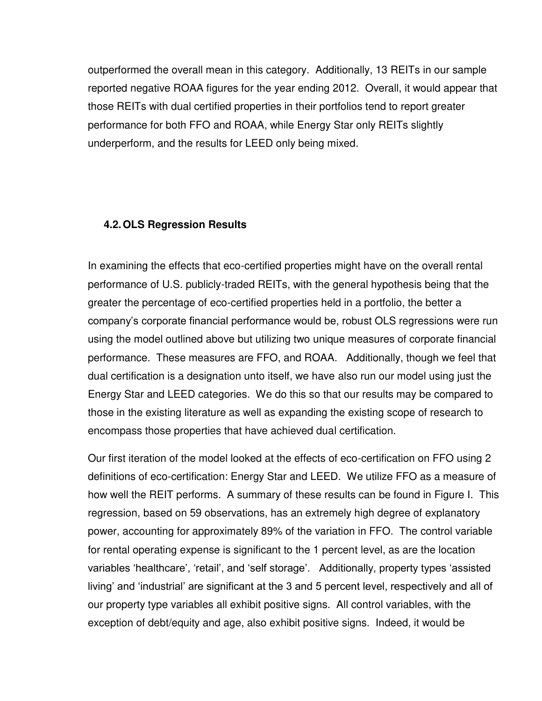outperformed the overall mean in this category. Additionally, 13 REITs in our sample reported negative ROAA figures for the year ending 2012. Overall, it would appear that those REITs with dual certified properties in their portfolios tend to report greater performance for both FFO and ROAA, while Energy Star only REITs slightly underperform, and the results for LEED only being mixed.

#### **4.2. OLS Regression Results**

In examining the effects that eco-certified properties might have on the overall rental performance of U.S. publicly-traded REITs, with the general hypothesis being that the greater the percentage of eco-certified properties held in a portfolio, the better a company's corporate financial performance would be, robust OLS regressions were run using the model outlined above but utilizing two unique measures of corporate financial performance. These measures are FFO, and ROAA. Additionally, though we feel that dual certification is a designation unto itself, we have also run our model using just the Energy Star and LEED categories. We do this so that our results may be compared to those in the existing literature as well as expanding the existing scope of research to encompass those properties that have achieved dual certification.

Our first iteration of the model looked at the effects of eco-certification on FFO using 2 definitions of eco-certification: Energy Star and LEED. We utilize FFO as a measure of how well the REIT performs. A summary of these results can be found in Figure I. This regression, based on 59 observations, has an extremely high degree of explanatory power, accounting for approximately 89% of the variation in FFO. The control variable for rental operating expense is significant to the 1 percent level, as are the location variables 'healthcare', 'retail', and 'self storage'. Additionally, property types 'assisted living' and 'industrial' are significant at the 3 and 5 percent level, respectively and all of our property type variables all exhibit positive signs. All control variables, with the exception of debt/equity and age, also exhibit positive signs. Indeed, it would be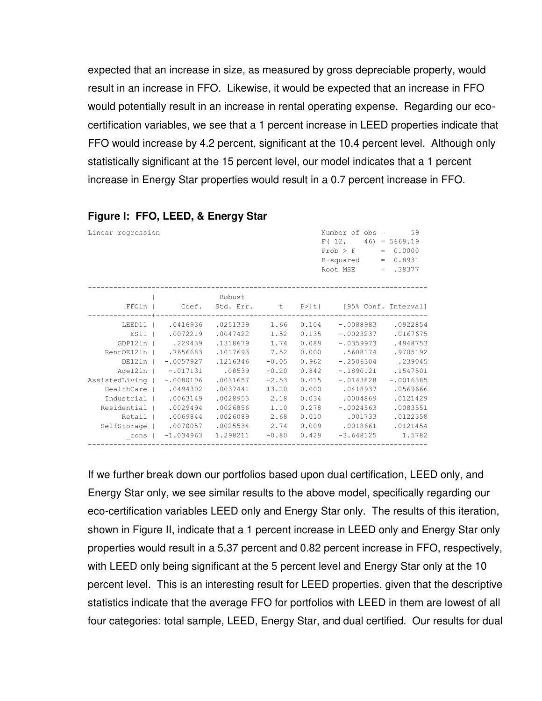expected that an increase in size, as measured by gross depreciable property, would result in an increase in FFO. Likewise, it would be expected that an increase in FFO would potentially result in an increase in rental operating expense. Regarding our ecocertification variables, we see that a 1 percent increase in LEED properties indicate that FFO would increase by 4.2 percent, significant at the 10.4 percent level. Although only statistically significant at the 15 percent level, our model indicates that a 1 percent increase in Energy Star properties would result in a 0.7 percent increase in FFO.

| Linear regression |             |          |         |       | Number of $obs =$                      | 59               |
|-------------------|-------------|----------|---------|-------|----------------------------------------|------------------|
|                   |             |          |         |       | F(12, 12)                              | $46$ ) = 5669.19 |
|                   |             |          |         |       | Prob > F                               | $= 0.0000$       |
|                   |             |          |         |       | R-squared                              | $= 0.8931$       |
|                   |             |          |         |       | Root MSE                               | $= .38377$       |
|                   |             |          |         |       |                                        |                  |
|                   |             | Robust   |         |       |                                        |                  |
| FFO1n             | Coef.       |          |         |       | Std. Err. t P> t  [95% Conf. Interval] |                  |
| LEED11            | .0416936    | .0251339 | 1.66    | 0.104 | $-.0088983$                            | .0922854         |
| ES11              | .0072219    | .0047422 | 1.52    | 0.135 | $-.0023237$                            | .0167675         |
| GDP121n           | .229439     | .1318679 | 1.74    | 0.089 | $-.0359973$                            | .4948753         |
| RentOE121n        | .7656683    | .1017693 | 7.52    | 0.000 | .5608174                               | .9705192         |
| DE121n            | $-.0057927$ | .1216346 | $-0.05$ | 0.962 | $-.2506304$                            | .239045          |
| $Aqel2ln$         | $-.017131$  | .08539   | $-0.20$ | 0.842 | $-.1890121$                            | .1547501         |
| AssistedLiving    | $-.0080106$ | .0031657 | $-2.53$ | 0.015 | $-.0143828$                            | $-.0016385$      |
| HealthCare        | .0494302    | .0037441 | 13.20   | 0.000 | .0418937                               | .0569666         |
| Industrial        | .0063149    | .0028953 | 2.18    | 0.034 | .0004869                               | .0121429         |
| Residential       | .0029494    | .0026856 | 1.10    | 0.278 | $-.0024563$                            | .0083551         |
| Retail            | .0069844    | .0026089 | 2.68    | 0.010 | .001733                                | .0122358         |
| SelfStorage       | .0070057    | .0025534 | 2.74    | 0.009 | .0018661                               | .0121454         |
| cons              | $-1.034963$ | 1.298211 | $-0.80$ | 0.429 | $-3.648125$                            | 1.5782           |
|                   |             |          |         |       |                                        |                  |

#### **Figure I: FFO, LEED, & Energy Star**

If we further break down our portfolios based upon dual certification, LEED only, and Energy Star only, we see similar results to the above model, specifically regarding our eco-certification variables LEED only and Energy Star only. The results of this iteration, shown in Figure II, indicate that a 1 percent increase in LEED only and Energy Star only properties would result in a 5.37 percent and 0.82 percent increase in FFO, respectively, with LEED only being significant at the 5 percent level and Energy Star only at the 10 percent level. This is an interesting result for LEED properties, given that the descriptive statistics indicate that the average FFO for portfolios with LEED in them are lowest of all four categories: total sample, LEED, Energy Star, and dual certified. Our results for dual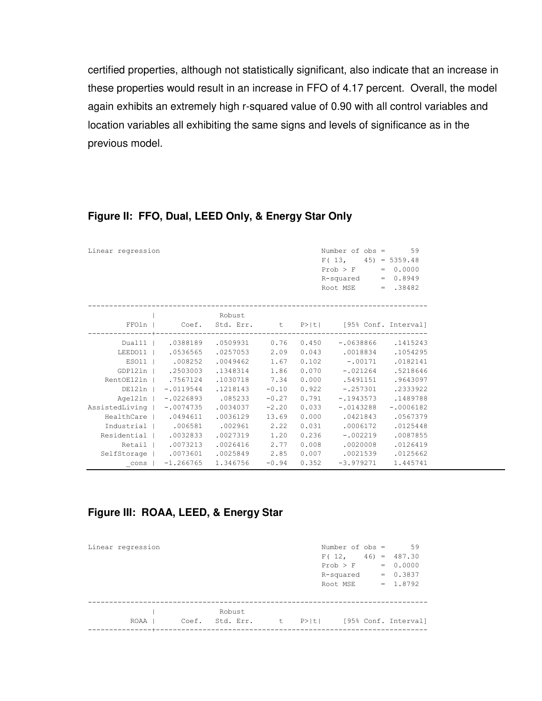certified properties, although not statistically significant, also indicate that an increase in these properties would result in an increase in FFO of 4.17 percent. Overall, the model again exhibits an extremely high r-squared value of 0.90 with all control variables and location variables all exhibiting the same signs and levels of significance as in the previous model.

| Linear regression |             |                  |         |       | Number of $obs =$                      | 59               |
|-------------------|-------------|------------------|---------|-------|----------------------------------------|------------------|
|                   |             |                  |         |       | F(13,                                  | $45$ ) = 5359.48 |
|                   |             |                  |         |       | Prob > F                               | $= 0.0000$       |
|                   |             |                  |         |       | R-squared                              | $= 0.8949$       |
|                   |             |                  |         |       | Root MSE                               | $= .38482$       |
|                   |             | Robust           |         |       |                                        |                  |
| FFO1n             | Coef.       |                  |         |       | Std. Err. t P> t  [95% Conf. Interval] |                  |
| $Dual11$          |             | .0388189.0509931 | 0.76    | 0.450 | $-.0638866$                            | .1415243         |
| LEED011           | .0536565    | .0257053         | 2.09    | 0.043 | .0018834                               | .1054295         |
| ES011             | .008252     | .0049462         | 1.67    |       | $0.102 - 00171$                        | .0182141         |
| GDP121n           | .2503003    | .1348314         | 1.86    | 0.070 | $-.021264$                             | .5218646         |
| RentOE121n        | .7567124    | .1030718         | 7.34    | 0.000 | .5491151                               | .9643097         |
| DE12ln            | $-.0119544$ | .1218143         | $-0.10$ | 0.922 | $-.257301$                             | .2333922         |
| $Aqel2ln$         | $-.0226893$ | .085233          | $-0.27$ | 0.791 | $-.1943573$                            | .1489788         |
| AssistedLiving    | $-.0074735$ | .0034037         | $-2.20$ | 0.033 | $-.0143288$                            | $-.0006182$      |
| HealthCare        | .0494611    | .0036129         | 13.69   | 0.000 | .0421843                               | .0567379         |
| Industrial        | .006581     | .002961          | 2.22    | 0.031 | .0006172                               | .0125448         |
| Residential       | .0032833    | .0027319         | 1.20    | 0.236 | $-.002219$                             | .0087855         |
| Retail            | .0073213    | .0026416         | 2.77    | 0.008 | .0020008                               | .0126419         |
| SelfStorage       | .0073601    | .0025849         | 2.85    | 0.007 | .0021539                               | .0125662         |
| cons              | $-1.266765$ | 1.346756         | $-0.94$ | 0.352 | $-3.979271$                            | 1.445741         |

#### **Figure II: FFO, Dual, LEED Only, & Energy Star Only**

#### **Figure III: ROAA, LEED, & Energy Star**

| Linear regression |       |           |   |         | Number of $obs =$ | 59                   |
|-------------------|-------|-----------|---|---------|-------------------|----------------------|
|                   |       |           |   |         | F(12,             | $46$ = $487.30$      |
|                   |       |           |   |         | Prob > F          | $= 0.0000$           |
|                   |       |           |   |         | R-squared         | $= 0.3837$           |
|                   |       |           |   |         | Root MSE          | $= 1.8792$           |
|                   |       |           |   |         |                   |                      |
|                   |       |           |   |         |                   |                      |
|                   |       | Robust    |   |         |                   |                      |
| ROAA I            | Coef. | Std. Err. | t | $P>$  t |                   | [95% Conf. Interval] |
|                   |       |           |   |         |                   |                      |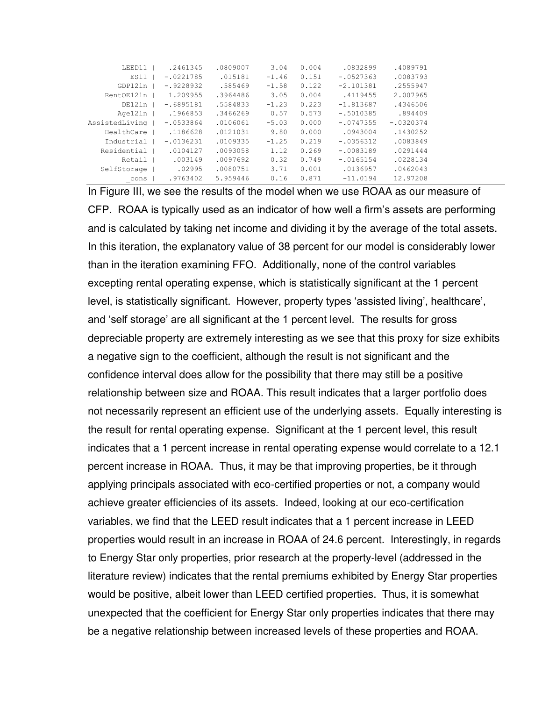| LEED11         | .2461345    | .0809007 | 3.04    | 0.004 | .0832899    | .4089791    |
|----------------|-------------|----------|---------|-------|-------------|-------------|
| ES11           | $-.0221785$ | .015181  | $-1.46$ | 0.151 | $-.0527363$ | .0083793    |
| GDP121n        | $-.9228932$ | .585469  | $-1.58$ | 0.122 | $-2.101381$ | .2555947    |
| RentOE121n     | 1.209955    | .3964486 | 3.05    | 0.004 | .4119455    | 2.007965    |
| DE121n         | $-.6895181$ | .5584833 | $-1.23$ | 0.223 | $-1.813687$ | .4346506    |
| Age121n        | .1966853    | .3466269 | 0.57    | 0.573 | $-.5010385$ | .894409     |
| AssistedLiving | $-.0533864$ | .0106061 | $-5.03$ | 0.000 | $-.0747355$ | $-.0320374$ |
| HealthCare     | .1186628    | .0121031 | 9.80    | 0.000 | .0943004    | .1430252    |
| Industrial     | $-.0136231$ | .0109335 | $-1.25$ | 0.219 | $-.0356312$ | .0083849    |
| Residential    | .0104127    | .0093058 | 1.12    | 0.269 | $-.0083189$ | .0291444    |
| Retail         | .003149     | .0097692 | 0.32    | 0.749 | $-.0165154$ | .0228134    |
| SelfStorage    | .02995      | .0080751 | 3.71    | 0.001 | .0136957    | .0462043    |
| cons           | .9763402    | 5.959446 | 0.16    | 0.871 | $-11.0194$  | 12.97208    |

In Figure III, we see the results of the model when we use ROAA as our measure of CFP. ROAA is typically used as an indicator of how well a firm's assets are performing and is calculated by taking net income and dividing it by the average of the total assets. In this iteration, the explanatory value of 38 percent for our model is considerably lower than in the iteration examining FFO. Additionally, none of the control variables excepting rental operating expense, which is statistically significant at the 1 percent level, is statistically significant. However, property types 'assisted living', healthcare', and 'self storage' are all significant at the 1 percent level. The results for gross depreciable property are extremely interesting as we see that this proxy for size exhibits a negative sign to the coefficient, although the result is not significant and the confidence interval does allow for the possibility that there may still be a positive relationship between size and ROAA. This result indicates that a larger portfolio does not necessarily represent an efficient use of the underlying assets. Equally interesting is the result for rental operating expense. Significant at the 1 percent level, this result indicates that a 1 percent increase in rental operating expense would correlate to a 12.1 percent increase in ROAA. Thus, it may be that improving properties, be it through applying principals associated with eco-certified properties or not, a company would achieve greater efficiencies of its assets. Indeed, looking at our eco-certification variables, we find that the LEED result indicates that a 1 percent increase in LEED properties would result in an increase in ROAA of 24.6 percent. Interestingly, in regards to Energy Star only properties, prior research at the property-level (addressed in the literature review) indicates that the rental premiums exhibited by Energy Star properties would be positive, albeit lower than LEED certified properties. Thus, it is somewhat unexpected that the coefficient for Energy Star only properties indicates that there may be a negative relationship between increased levels of these properties and ROAA.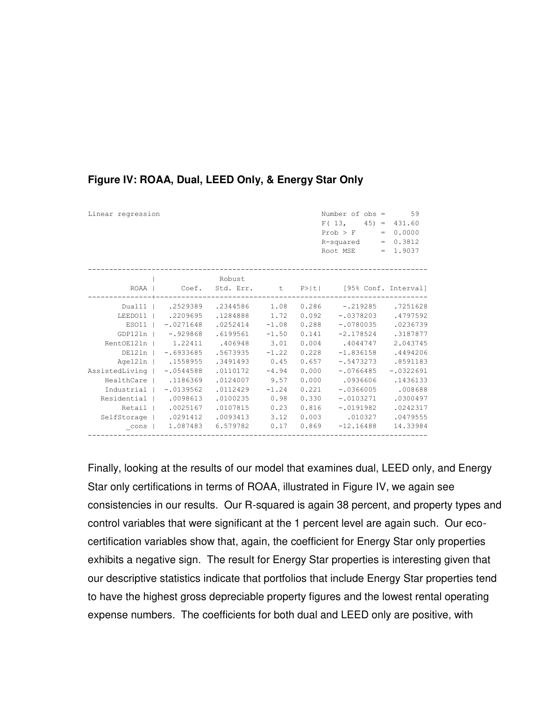#### **Figure IV: ROAA, Dual, LEED Only, & Energy Star Only**

| Linear regression           |                    |                   |         |       | Number of $obs = 59$                           |             |
|-----------------------------|--------------------|-------------------|---------|-------|------------------------------------------------|-------------|
|                             |                    |                   |         |       | $F(13, 45) = 431.60$                           |             |
|                             |                    |                   |         |       | $Prob > F$ = 0.0000                            |             |
|                             |                    |                   |         |       | $R$ -squared = $0.3812$                        |             |
|                             |                    |                   |         |       | Root MSE $= 1.9037$                            |             |
|                             |                    |                   |         |       |                                                |             |
|                             |                    | Robust            |         |       |                                                |             |
| ROAA I                      |                    |                   |         |       | Coef. Std. Err. t P> t  [95% Conf. Interval]   |             |
|                             |                    |                   |         |       | Dual11   .2529389 .2344586 1.08 0.286 -.219285 | .7251628    |
|                             | LEED011   .2209695 | 1284888 1.72      |         | 0.092 | $-.0378203$                                    | .4797592    |
|                             | ESO11   -.0271648  | $.0252414 - 1.08$ |         | 0.288 | $-.0780035$                                    | .0236739    |
|                             | GDP121n   -.929868 | .6199561          | $-1.50$ | 0.141 | $-2.178524$                                    | .3187877    |
| RentOE121n   1.22411        |                    | .406948 3.01      |         |       | $0.004$ . $4044747$                            | 2.043745    |
|                             | DE121n   -.6933685 | .5673935          | $-1.22$ | 0.228 | $-1.836158$                                    | .4494206    |
|                             | Age121n   .1558955 | .3491493 0.45     |         | 0.657 | $-.5473273$                                    | .8591183    |
| AssistedLiving   -. 0544588 |                    | .0110172          | $-4.94$ | 0.000 | $-.0766485$                                    | $-.0322691$ |
| HealthCare   .1186369       |                    | $.0124007$ 9.57   |         |       | $0.000$ .0936606                               | .1436133    |
| Industrial $ -0139562 $     |                    | .0112429          | $-1.24$ | 0.221 | $-.0366005$ .008688                            |             |
| Residential   .0098613      |                    | $.0100235$ 0.98   |         | 0.330 | $-.0103271$                                    | .0300497    |
|                             | Retail   .0025167  | .0107815          | 0.23    | 0.816 | $-.0191982$                                    | .0242317    |
| SelfStorage   .0291412      |                    | $.0093413$ 3.12   |         |       | $0.003$ .010327                                | .0479555    |
| cons                        | 1.087483           | 6.579782 0.17     |         | 0.869 | $-12.16488$                                    | 14.33984    |
|                             |                    |                   |         |       |                                                |             |

Finally, looking at the results of our model that examines dual, LEED only, and Energy Star only certifications in terms of ROAA, illustrated in Figure IV, we again see consistencies in our results. Our R-squared is again 38 percent, and property types and control variables that were significant at the 1 percent level are again such. Our ecocertification variables show that, again, the coefficient for Energy Star only properties exhibits a negative sign. The result for Energy Star properties is interesting given that our descriptive statistics indicate that portfolios that include Energy Star properties tend to have the highest gross depreciable property figures and the lowest rental operating expense numbers. The coefficients for both dual and LEED only are positive, with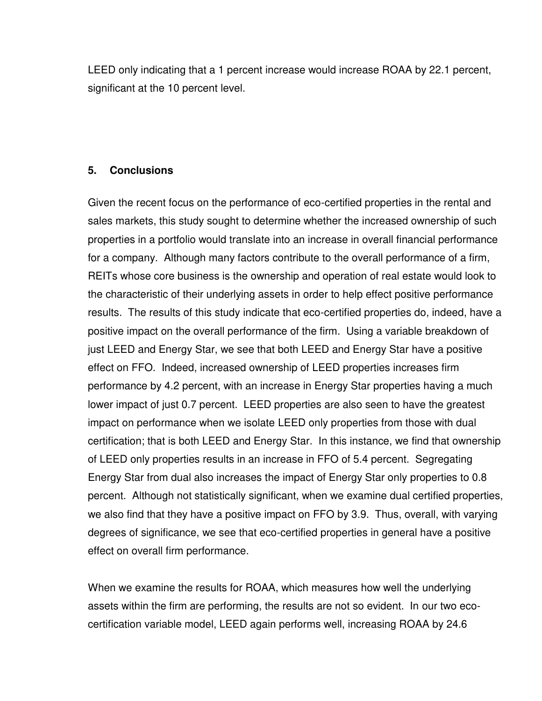LEED only indicating that a 1 percent increase would increase ROAA by 22.1 percent, significant at the 10 percent level.

#### **5. Conclusions**

Given the recent focus on the performance of eco-certified properties in the rental and sales markets, this study sought to determine whether the increased ownership of such properties in a portfolio would translate into an increase in overall financial performance for a company. Although many factors contribute to the overall performance of a firm, REITs whose core business is the ownership and operation of real estate would look to the characteristic of their underlying assets in order to help effect positive performance results. The results of this study indicate that eco-certified properties do, indeed, have a positive impact on the overall performance of the firm. Using a variable breakdown of just LEED and Energy Star, we see that both LEED and Energy Star have a positive effect on FFO. Indeed, increased ownership of LEED properties increases firm performance by 4.2 percent, with an increase in Energy Star properties having a much lower impact of just 0.7 percent. LEED properties are also seen to have the greatest impact on performance when we isolate LEED only properties from those with dual certification; that is both LEED and Energy Star. In this instance, we find that ownership of LEED only properties results in an increase in FFO of 5.4 percent. Segregating Energy Star from dual also increases the impact of Energy Star only properties to 0.8 percent. Although not statistically significant, when we examine dual certified properties, we also find that they have a positive impact on FFO by 3.9. Thus, overall, with varying degrees of significance, we see that eco-certified properties in general have a positive effect on overall firm performance.

When we examine the results for ROAA, which measures how well the underlying assets within the firm are performing, the results are not so evident. In our two ecocertification variable model, LEED again performs well, increasing ROAA by 24.6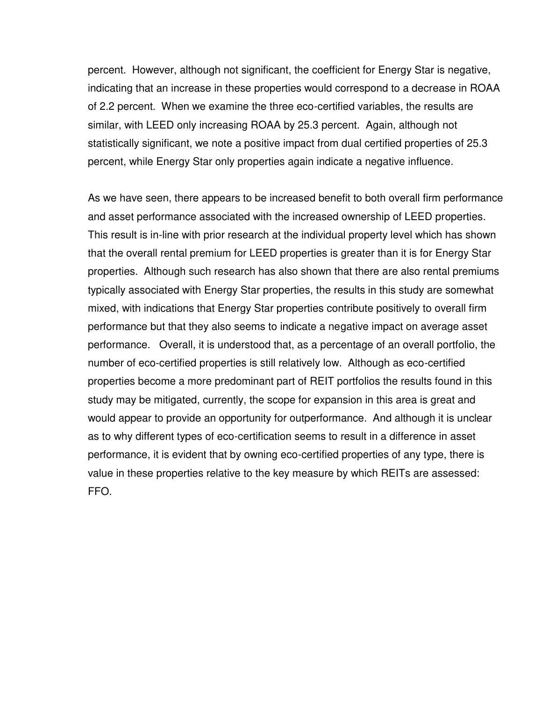percent. However, although not significant, the coefficient for Energy Star is negative, indicating that an increase in these properties would correspond to a decrease in ROAA of 2.2 percent. When we examine the three eco-certified variables, the results are similar, with LEED only increasing ROAA by 25.3 percent. Again, although not statistically significant, we note a positive impact from dual certified properties of 25.3 percent, while Energy Star only properties again indicate a negative influence.

As we have seen, there appears to be increased benefit to both overall firm performance and asset performance associated with the increased ownership of LEED properties. This result is in-line with prior research at the individual property level which has shown that the overall rental premium for LEED properties is greater than it is for Energy Star properties. Although such research has also shown that there are also rental premiums typically associated with Energy Star properties, the results in this study are somewhat mixed, with indications that Energy Star properties contribute positively to overall firm performance but that they also seems to indicate a negative impact on average asset performance. Overall, it is understood that, as a percentage of an overall portfolio, the number of eco-certified properties is still relatively low. Although as eco-certified properties become a more predominant part of REIT portfolios the results found in this study may be mitigated, currently, the scope for expansion in this area is great and would appear to provide an opportunity for outperformance. And although it is unclear as to why different types of eco-certification seems to result in a difference in asset performance, it is evident that by owning eco-certified properties of any type, there is value in these properties relative to the key measure by which REITs are assessed: FFO.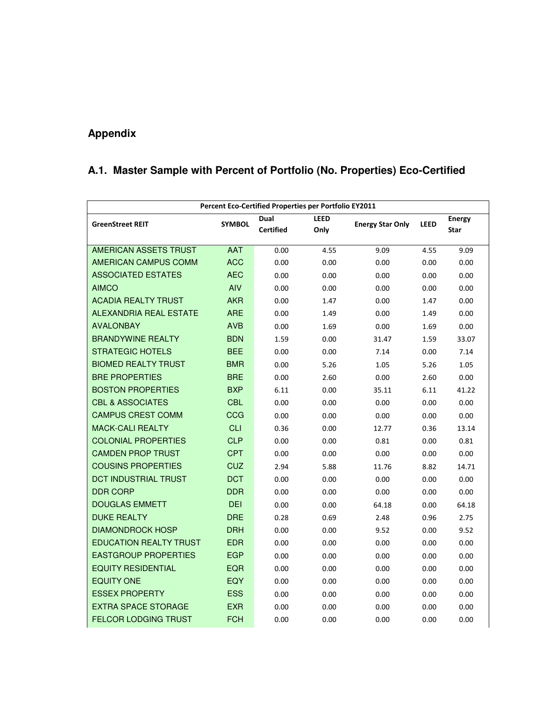## **Appendix**

### **A.1. Master Sample with Percent of Portfolio (No. Properties) Eco-Certified**

|                               |               | Percent Eco-Certified Properties per Portfolio EY2011 |              |                         |             |                              |
|-------------------------------|---------------|-------------------------------------------------------|--------------|-------------------------|-------------|------------------------------|
| <b>GreenStreet REIT</b>       | <b>SYMBOL</b> | Dual<br><b>Certified</b>                              | LEED<br>Only | <b>Energy Star Only</b> | <b>LEED</b> | <b>Energy</b><br><b>Star</b> |
| <b>AMERICAN ASSETS TRUST</b>  | <b>AAT</b>    | 0.00                                                  | 4.55         | 9.09                    | 4.55        | 9.09                         |
| <b>AMERICAN CAMPUS COMM</b>   | <b>ACC</b>    | 0.00                                                  | 0.00         | 0.00                    | 0.00        | 0.00                         |
| <b>ASSOCIATED ESTATES</b>     | <b>AEC</b>    | 0.00                                                  | 0.00         | 0.00                    | 0.00        | 0.00                         |
| <b>AIMCO</b>                  | AIV           | 0.00                                                  | 0.00         | 0.00                    | 0.00        | 0.00                         |
| <b>ACADIA REALTY TRUST</b>    | <b>AKR</b>    | 0.00                                                  | 1.47         | 0.00                    | 1.47        | 0.00                         |
| <b>ALEXANDRIA REAL ESTATE</b> | <b>ARE</b>    | 0.00                                                  | 1.49         | 0.00                    | 1.49        | 0.00                         |
| <b>AVALONBAY</b>              | <b>AVB</b>    | 0.00                                                  | 1.69         | 0.00                    | 1.69        | 0.00                         |
| <b>BRANDYWINE REALTY</b>      | <b>BDN</b>    | 1.59                                                  | 0.00         | 31.47                   | 1.59        | 33.07                        |
| <b>STRATEGIC HOTELS</b>       | <b>BEE</b>    | 0.00                                                  | 0.00         | 7.14                    | 0.00        | 7.14                         |
| <b>BIOMED REALTY TRUST</b>    | <b>BMR</b>    | 0.00                                                  | 5.26         | 1.05                    | 5.26        | 1.05                         |
| <b>BRE PROPERTIES</b>         | <b>BRE</b>    | 0.00                                                  | 2.60         | 0.00                    | 2.60        | 0.00                         |
| <b>BOSTON PROPERTIES</b>      | <b>BXP</b>    | 6.11                                                  | 0.00         | 35.11                   | 6.11        | 41.22                        |
| <b>CBL &amp; ASSOCIATES</b>   | <b>CBL</b>    | 0.00                                                  | 0.00         | 0.00                    | 0.00        | 0.00                         |
| <b>CAMPUS CREST COMM</b>      | <b>CCG</b>    | 0.00                                                  | 0.00         | 0.00                    | 0.00        | 0.00                         |
| <b>MACK-CALI REALTY</b>       | <b>CLI</b>    | 0.36                                                  | 0.00         | 12.77                   | 0.36        | 13.14                        |
| <b>COLONIAL PROPERTIES</b>    | <b>CLP</b>    | 0.00                                                  | 0.00         | 0.81                    | 0.00        | 0.81                         |
| <b>CAMDEN PROP TRUST</b>      | <b>CPT</b>    | 0.00                                                  | 0.00         | 0.00                    | 0.00        | 0.00                         |
| <b>COUSINS PROPERTIES</b>     | <b>CUZ</b>    | 2.94                                                  | 5.88         | 11.76                   | 8.82        | 14.71                        |
| <b>DCT INDUSTRIAL TRUST</b>   | <b>DCT</b>    | 0.00                                                  | 0.00         | 0.00                    | 0.00        | 0.00                         |
| <b>DDR CORP</b>               | <b>DDR</b>    | 0.00                                                  | 0.00         | 0.00                    | 0.00        | 0.00                         |
| <b>DOUGLAS EMMETT</b>         | <b>DEI</b>    | 0.00                                                  | 0.00         | 64.18                   | 0.00        | 64.18                        |
| <b>DUKE REALTY</b>            | <b>DRE</b>    | 0.28                                                  | 0.69         | 2.48                    | 0.96        | 2.75                         |
| <b>DIAMONDROCK HOSP</b>       | <b>DRH</b>    | 0.00                                                  | 0.00         | 9.52                    | 0.00        | 9.52                         |
| <b>EDUCATION REALTY TRUST</b> | EDR.          | 0.00                                                  | 0.00         | 0.00                    | 0.00        | 0.00                         |
| <b>EASTGROUP PROPERTIES</b>   | <b>EGP</b>    | 0.00                                                  | 0.00         | 0.00                    | 0.00        | 0.00                         |
| <b>EQUITY RESIDENTIAL</b>     | <b>EQR</b>    | 0.00                                                  | 0.00         | 0.00                    | 0.00        | 0.00                         |
| <b>EQUITY ONE</b>             | <b>EQY</b>    | 0.00                                                  | 0.00         | 0.00                    | 0.00        | 0.00                         |
| <b>ESSEX PROPERTY</b>         | <b>ESS</b>    | 0.00                                                  | 0.00         | 0.00                    | 0.00        | 0.00                         |
| <b>EXTRA SPACE STORAGE</b>    | <b>EXR</b>    | 0.00                                                  | 0.00         | 0.00                    | 0.00        | 0.00                         |
| <b>FELCOR LODGING TRUST</b>   | <b>FCH</b>    | 0.00                                                  | 0.00         | 0.00                    | 0.00        | 0.00                         |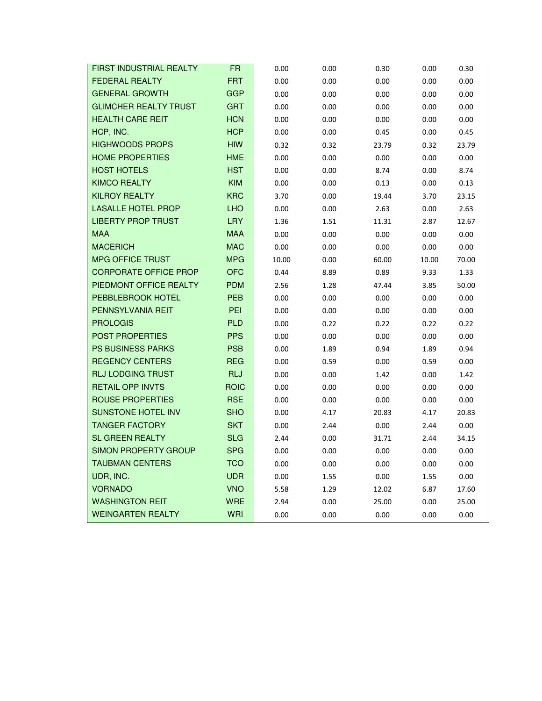| <b>FIRST INDUSTRIAL REALTY</b> | FR.         | 0.00  | 0.00 | 0.30  | 0.00  | 0.30  |
|--------------------------------|-------------|-------|------|-------|-------|-------|
| <b>FEDERAL REALTY</b>          | <b>FRT</b>  | 0.00  | 0.00 | 0.00  | 0.00  | 0.00  |
| <b>GENERAL GROWTH</b>          | <b>GGP</b>  | 0.00  | 0.00 | 0.00  | 0.00  | 0.00  |
| <b>GLIMCHER REALTY TRUST</b>   | <b>GRT</b>  | 0.00  | 0.00 | 0.00  | 0.00  | 0.00  |
| HEALTH CARE REIT               | <b>HCN</b>  | 0.00  | 0.00 | 0.00  | 0.00  | 0.00  |
| HCP, INC.                      | <b>HCP</b>  | 0.00  | 0.00 | 0.45  | 0.00  | 0.45  |
| <b>HIGHWOODS PROPS</b>         | <b>HIW</b>  | 0.32  | 0.32 | 23.79 | 0.32  | 23.79 |
| <b>HOME PROPERTIES</b>         | <b>HME</b>  | 0.00  | 0.00 | 0.00  | 0.00  | 0.00  |
| <b>HOST HOTELS</b>             | <b>HST</b>  | 0.00  | 0.00 | 8.74  | 0.00  | 8.74  |
| KIMCO REALTY                   | <b>KIM</b>  | 0.00  | 0.00 | 0.13  | 0.00  | 0.13  |
| KILROY REALTY                  | <b>KRC</b>  | 3.70  | 0.00 | 19.44 | 3.70  | 23.15 |
| <b>LASALLE HOTEL PROP</b>      | <b>LHO</b>  | 0.00  | 0.00 | 2.63  | 0.00  | 2.63  |
| <b>LIBERTY PROP TRUST</b>      | <b>LRY</b>  | 1.36  | 1.51 | 11.31 | 2.87  | 12.67 |
| <b>MAA</b>                     | MAA         | 0.00  | 0.00 | 0.00  | 0.00  | 0.00  |
| <b>MACERICH</b>                | <b>MAC</b>  | 0.00  | 0.00 | 0.00  | 0.00  | 0.00  |
| <b>MPG OFFICE TRUST</b>        | <b>MPG</b>  | 10.00 | 0.00 | 60.00 | 10.00 | 70.00 |
| <b>CORPORATE OFFICE PROP</b>   | <b>OFC</b>  | 0.44  | 8.89 | 0.89  | 9.33  | 1.33  |
| PIEDMONT OFFICE REALTY         | <b>PDM</b>  | 2.56  | 1.28 | 47.44 | 3.85  | 50.00 |
| PEBBLEBROOK HOTEL              | <b>PEB</b>  | 0.00  | 0.00 | 0.00  | 0.00  | 0.00  |
| PENNSYLVANIA REIT              | PEI         | 0.00  | 0.00 | 0.00  | 0.00  | 0.00  |
| <b>PROLOGIS</b>                | <b>PLD</b>  | 0.00  | 0.22 | 0.22  | 0.22  | 0.22  |
| POST PROPERTIES                | <b>PPS</b>  | 0.00  | 0.00 | 0.00  | 0.00  | 0.00  |
| PS BUSINESS PARKS              | <b>PSB</b>  | 0.00  | 1.89 | 0.94  | 1.89  | 0.94  |
| <b>REGENCY CENTERS</b>         | <b>REG</b>  | 0.00  | 0.59 | 0.00  | 0.59  | 0.00  |
| <b>RLJ LODGING TRUST</b>       | <b>RLJ</b>  | 0.00  | 0.00 | 1.42  | 0.00  | 1.42  |
| RETAIL OPP INVTS               | <b>ROIC</b> | 0.00  | 0.00 | 0.00  | 0.00  | 0.00  |
| ROUSE PROPERTIES               | <b>RSE</b>  | 0.00  | 0.00 | 0.00  | 0.00  | 0.00  |
| SUNSTONE HOTEL INV             | <b>SHO</b>  | 0.00  | 4.17 | 20.83 | 4.17  | 20.83 |
| <b>TANGER FACTORY</b>          | <b>SKT</b>  | 0.00  | 2.44 | 0.00  | 2.44  | 0.00  |
| <b>SL GREEN REALTY</b>         | <b>SLG</b>  | 2.44  | 0.00 | 31.71 | 2.44  | 34.15 |
| <b>SIMON PROPERTY GROUP</b>    | <b>SPG</b>  | 0.00  | 0.00 | 0.00  | 0.00  | 0.00  |
| <b>TAUBMAN CENTERS</b>         | <b>TCO</b>  | 0.00  | 0.00 | 0.00  | 0.00  | 0.00  |
| UDR, INC.                      | <b>UDR</b>  | 0.00  | 1.55 | 0.00  | 1.55  | 0.00  |
| <b>VORNADO</b>                 | <b>VNO</b>  | 5.58  | 1.29 | 12.02 | 6.87  | 17.60 |
| <b>WASHINGTON REIT</b>         | <b>WRE</b>  | 2.94  | 0.00 | 25.00 | 0.00  | 25.00 |
| <b>WEINGARTEN REALTY</b>       | <b>WRI</b>  | 0.00  | 0.00 | 0.00  | 0.00  | 0.00  |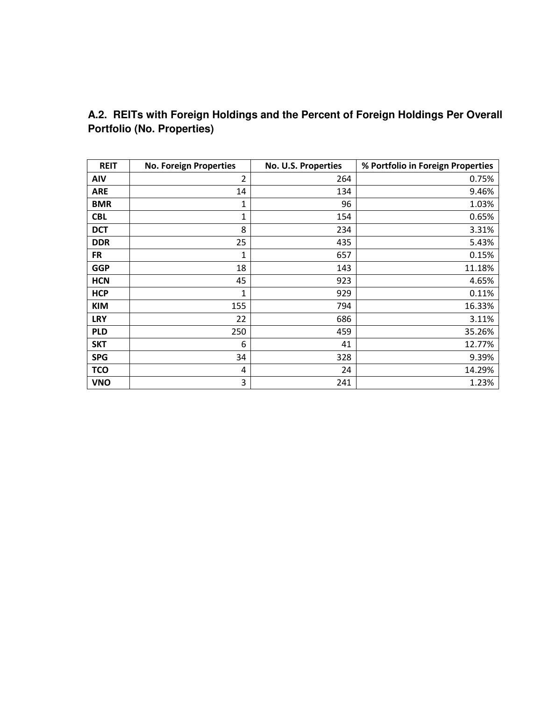| A.2. REITs with Foreign Holdings and the Percent of Foreign Holdings Per Overall |
|----------------------------------------------------------------------------------|
| Portfolio (No. Properties)                                                       |

| <b>REIT</b> | <b>No. Foreign Properties</b> | <b>No. U.S. Properties</b> | % Portfolio in Foreign Properties |
|-------------|-------------------------------|----------------------------|-----------------------------------|
| AIV         | 2                             | 264                        | 0.75%                             |
| <b>ARE</b>  | 14                            | 134                        | 9.46%                             |
| <b>BMR</b>  | 1                             | 96                         | 1.03%                             |
| <b>CBL</b>  | 1                             | 154                        | 0.65%                             |
| <b>DCT</b>  | 8                             | 234                        | 3.31%                             |
| <b>DDR</b>  | 25                            | 435                        | 5.43%                             |
| <b>FR</b>   | 1                             | 657                        | 0.15%                             |
| <b>GGP</b>  | 18                            | 143                        | 11.18%                            |
| <b>HCN</b>  | 45                            | 923                        | 4.65%                             |
| <b>HCP</b>  | 1                             | 929                        | 0.11%                             |
| <b>KIM</b>  | 155                           | 794                        | 16.33%                            |
| <b>LRY</b>  | 22                            | 686                        | 3.11%                             |
| <b>PLD</b>  | 250                           | 459                        | 35.26%                            |
| <b>SKT</b>  | 6                             | 41                         | 12.77%                            |
| <b>SPG</b>  | 34                            | 328                        | 9.39%                             |
| <b>TCO</b>  | 4                             | 24                         | 14.29%                            |
| <b>VNO</b>  | 3                             | 241                        | 1.23%                             |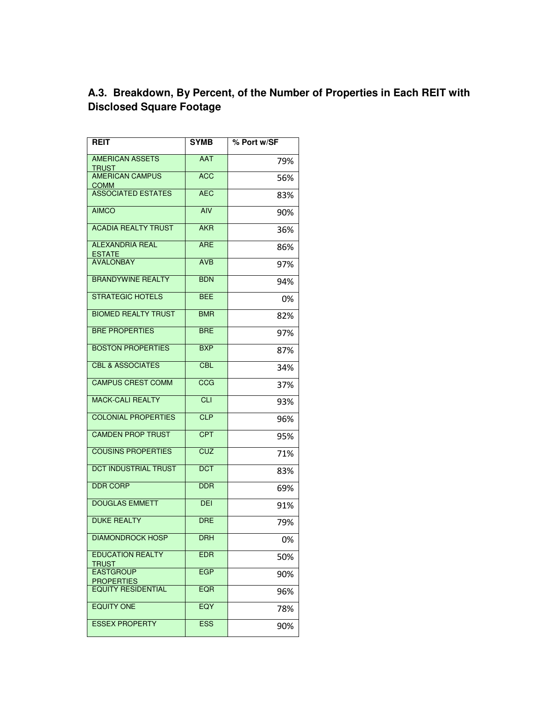### **A.3. Breakdown, By Percent, of the Number of Properties in Each REIT with Disclosed Square Footage**

| <b>REIT</b>                             | <b>SYMB</b> | % Port w/SF |
|-----------------------------------------|-------------|-------------|
| <b>AMERICAN ASSETS</b>                  | <b>AAT</b>  | 79%         |
| <b>TRUST</b><br><b>AMERICAN CAMPUS</b>  | <b>ACC</b>  | 56%         |
| <b>COMM</b>                             |             |             |
| <b>ASSOCIATED ESTATES</b>               | <b>AEC</b>  | 83%         |
| <b>AIMCO</b>                            | AIV         | 90%         |
| <b>ACADIA REALTY TRUST</b>              | <b>AKR</b>  | 36%         |
| <b>ALEXANDRIA REAL</b><br><b>ESTATE</b> | <b>ARE</b>  | 86%         |
| <b>AVALONBAY</b>                        | <b>AVB</b>  | 97%         |
| <b>BRANDYWINE REALTY</b>                | <b>BDN</b>  | 94%         |
| <b>STRATEGIC HOTELS</b>                 | <b>BEE</b>  | 0%          |
| <b>BIOMED REALTY TRUST</b>              | <b>BMR</b>  | 82%         |
| <b>BRE PROPERTIES</b>                   | <b>BRE</b>  | 97%         |
| <b>BOSTON PROPERTIES</b>                | <b>BXP</b>  | 87%         |
| <b>CBL &amp; ASSOCIATES</b>             | <b>CBL</b>  | 34%         |
| <b>CAMPUS CREST COMM</b>                | CCG         | 37%         |
| <b>MACK-CALI REALTY</b>                 | <b>CLI</b>  | 93%         |
| <b>COLONIAL PROPERTIES</b>              | CLP         | 96%         |
| <b>CAMDEN PROP TRUST</b>                | <b>CPT</b>  | 95%         |
| <b>COUSINS PROPERTIES</b>               | CUZ         | 71%         |
| <b>DCT INDUSTRIAL TRUST</b>             | <b>DCT</b>  | 83%         |
| <b>DDR CORP</b>                         | <b>DDR</b>  | 69%         |
| <b>DOUGLAS EMMETT</b>                   | <b>DEI</b>  | 91%         |
| <b>DUKE REALTY</b>                      | <b>DRE</b>  | 79%         |
| <b>DIAMONDROCK HOSP</b>                 | DRH         | 0%          |
| <b>EDUCATION REALTY</b><br><b>TRUST</b> | <b>EDR</b>  | 50%         |
| <b>EASTGROUP</b><br><b>PROPERTIES</b>   | <b>EGP</b>  | 90%         |
| <b>EQUITY RESIDENTIAL</b>               | <b>EQR</b>  | 96%         |
| <b>EQUITY ONE</b>                       | EQY         | 78%         |
| <b>ESSEX PROPERTY</b>                   | <b>ESS</b>  | 90%         |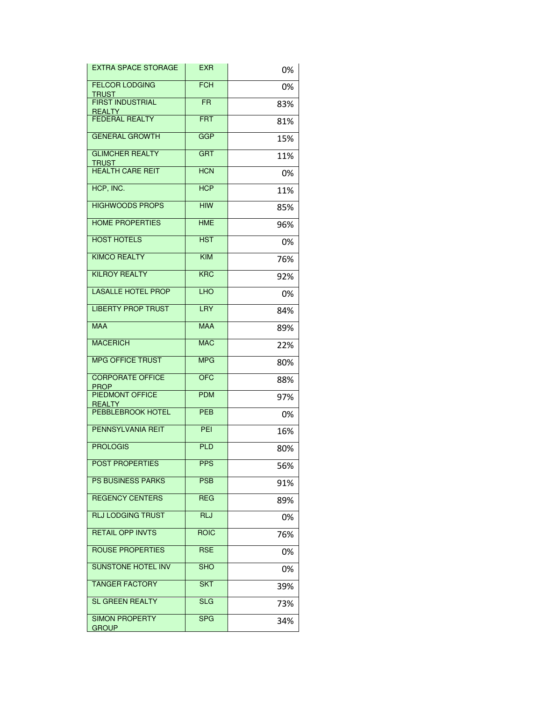| <b>EXTRA SPACE STORAGE</b>             | <b>EXR</b>     | 0%  |
|----------------------------------------|----------------|-----|
| <b>FELCOR LODGING</b><br><b>TRUST</b>  | <b>FCH</b>     | 0%  |
| <b>FIRST INDUSTRIAL</b>                | F <sub>R</sub> | 83% |
| <mark>REALTY</mark><br>FEDERAL REALTY  | <b>FRT</b>     | 81% |
| <b>GENERAL GROWTH</b>                  | <b>GGP</b>     | 15% |
| <b>GLIMCHER REALTY</b><br><b>TRUST</b> | <b>GRT</b>     | 11% |
| <b>HEALTH CARE REIT</b>                | <b>HCN</b>     | 0%  |
| HCP, INC.                              | <b>HCP</b>     | 11% |
| <b>HIGHWOODS PROPS</b>                 | <b>HIW</b>     | 85% |
| <b>HOME PROPERTIES</b>                 | <b>HME</b>     | 96% |
| <b>HOST HOTELS</b>                     | <b>HST</b>     | 0%  |
| <b>KIMCO REALTY</b>                    | <b>KIM</b>     | 76% |
| <b>KILROY REALTY</b>                   | <b>KRC</b>     | 92% |
| <b>LASALLE HOTEL PROP</b>              | <b>LHO</b>     | 0%  |
| <b>LIBERTY PROP TRUST</b>              | <b>LRY</b>     | 84% |
| <b>MAA</b>                             | <b>MAA</b>     | 89% |
| <b>MACERICH</b>                        | <b>MAC</b>     | 22% |
| <b>MPG OFFICE TRUST</b>                | <b>MPG</b>     | 80% |
| <b>CORPORATE OFFICE</b><br><b>PROP</b> | <b>OFC</b>     | 88% |
| <b>PIEDMONT OFFICE</b>                 | <b>PDM</b>     | 97% |
| REALTY<br>PEBBLEBROOK HOTEL            | <b>PEB</b>     | 0%  |
| <b>PENNSYLVANIA REIT</b>               | PEI            | 16% |
| <b>PROLOGIS</b>                        | <b>PLD</b>     | 80% |
| <b>POST PROPERTIES</b>                 | <b>PPS</b>     | 56% |
| <b>PS BUSINESS PARKS</b>               | <b>PSB</b>     | 91% |
| <b>REGENCY CENTERS</b>                 | REG            | 89% |
| <b>RLJ LODGING TRUST</b>               | <b>RLJ</b>     | 0%  |
| <b>RETAIL OPP INVTS</b>                | <b>ROIC</b>    | 76% |
| <b>ROUSE PROPERTIES</b>                | <b>RSE</b>     | 0%  |
| <b>SUNSTONE HOTEL INV</b>              | <b>SHO</b>     | 0%  |
| <b>TANGER FACTORY</b>                  | <b>SKT</b>     | 39% |
| <b>SL GREEN REALTY</b>                 | <b>SLG</b>     | 73% |
| <b>SIMON PROPERTY</b><br><b>GROUP</b>  | <b>SPG</b>     | 34% |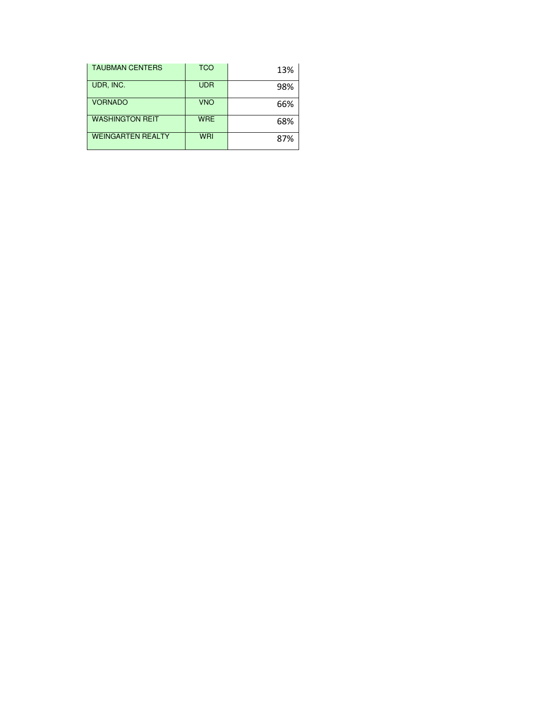| <b>TAUBMAN CENTERS</b>   | <b>TCO</b> | 13% |
|--------------------------|------------|-----|
| UDR, INC.                | <b>UDR</b> | 98% |
| <b>VORNADO</b>           | <b>VNO</b> | 66% |
| <b>WASHINGTON REIT</b>   | <b>WRE</b> | 68% |
| <b>WEINGARTEN REALTY</b> | <b>WRI</b> | 87% |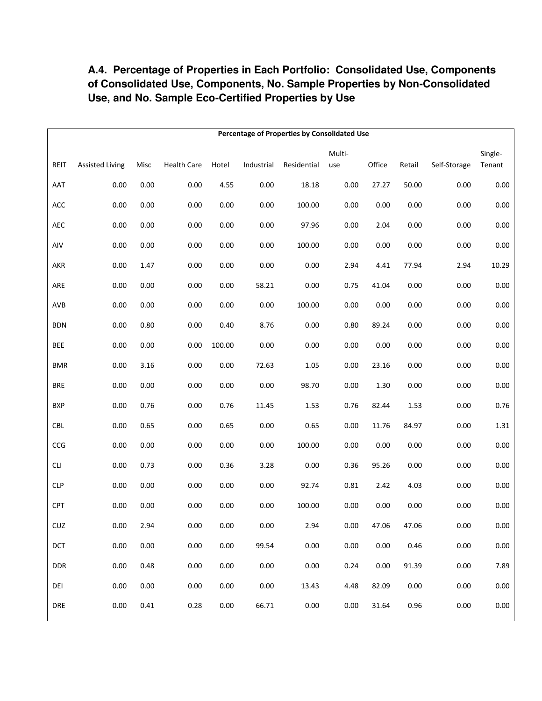### **A.4. Percentage of Properties in Each Portfolio: Consolidated Use, Components of Consolidated Use, Components, No. Sample Properties by Non-Consolidated Use, and No. Sample Eco-Certified Properties by Use**

|            | Percentage of Properties by Consolidated Use |          |                    |          |            |             |        |        |        |              |          |
|------------|----------------------------------------------|----------|--------------------|----------|------------|-------------|--------|--------|--------|--------------|----------|
|            |                                              |          |                    |          |            |             | Multi- |        |        |              | Single-  |
| REIT       | <b>Assisted Living</b>                       | Misc     | <b>Health Care</b> | Hotel    | Industrial | Residential | use    | Office | Retail | Self-Storage | Tenant   |
| AAT        | 0.00                                         | 0.00     | 0.00               | 4.55     | 0.00       | 18.18       | 0.00   | 27.27  | 50.00  | 0.00         | $0.00\,$ |
| ACC        | 0.00                                         | 0.00     | 0.00               | 0.00     | 0.00       | 100.00      | 0.00   | 0.00   | 0.00   | 0.00         | 0.00     |
| AEC        | 0.00                                         | 0.00     | 0.00               | 0.00     | 0.00       | 97.96       | 0.00   | 2.04   | 0.00   | 0.00         | 0.00     |
| AIV        | 0.00                                         | 0.00     | 0.00               | 0.00     | 0.00       | 100.00      | 0.00   | 0.00   | 0.00   | 0.00         | $0.00\,$ |
| AKR        | 0.00                                         | 1.47     | 0.00               | 0.00     | $0.00\,$   | 0.00        | 2.94   | 4.41   | 77.94  | 2.94         | 10.29    |
| ARE        | 0.00                                         | 0.00     | 0.00               | $0.00\,$ | 58.21      | 0.00        | 0.75   | 41.04  | 0.00   | 0.00         | 0.00     |
| AVB        | 0.00                                         | 0.00     | 0.00               | 0.00     | 0.00       | 100.00      | 0.00   | 0.00   | 0.00   | 0.00         | $0.00\,$ |
| <b>BDN</b> | 0.00                                         | 0.80     | 0.00               | 0.40     | 8.76       | 0.00        | 0.80   | 89.24  | 0.00   | 0.00         | $0.00\,$ |
| <b>BEE</b> | 0.00                                         | 0.00     | 0.00               | 100.00   | 0.00       | 0.00        | 0.00   | 0.00   | 0.00   | 0.00         | $0.00\,$ |
| <b>BMR</b> | 0.00                                         | 3.16     | 0.00               | 0.00     | 72.63      | 1.05        | 0.00   | 23.16  | 0.00   | 0.00         | $0.00\,$ |
| <b>BRE</b> | 0.00                                         | 0.00     | 0.00               | 0.00     | 0.00       | 98.70       | 0.00   | 1.30   | 0.00   | 0.00         | 0.00     |
| <b>BXP</b> | 0.00                                         | 0.76     | 0.00               | 0.76     | 11.45      | 1.53        | 0.76   | 82.44  | 1.53   | 0.00         | 0.76     |
| <b>CBL</b> | 0.00                                         | 0.65     | 0.00               | 0.65     | 0.00       | 0.65        | 0.00   | 11.76  | 84.97  | 0.00         | 1.31     |
| CCG        | 0.00                                         | 0.00     | 0.00               | 0.00     | 0.00       | 100.00      | 0.00   | 0.00   | 0.00   | 0.00         | 0.00     |
| <b>CLI</b> | 0.00                                         | 0.73     | 0.00               | 0.36     | 3.28       | 0.00        | 0.36   | 95.26  | 0.00   | 0.00         | 0.00     |
| <b>CLP</b> | 0.00                                         | 0.00     | 0.00               | 0.00     | 0.00       | 92.74       | 0.81   | 2.42   | 4.03   | 0.00         | 0.00     |
| <b>CPT</b> | 0.00                                         | 0.00     | 0.00               | 0.00     | 0.00       | 100.00      | 0.00   | 0.00   | 0.00   | 0.00         | $0.00\,$ |
| CUZ        | 0.00                                         | 2.94     | 0.00               | 0.00     | 0.00       | 2.94        | 0.00   | 47.06  | 47.06  | 0.00         | 0.00     |
| DCT        | 0.00                                         | $0.00\,$ | 0.00               | 0.00     | 99.54      | 0.00        | 0.00   | 0.00   | 0.46   | 0.00         | $0.00\,$ |
| <b>DDR</b> | 0.00                                         | 0.48     | 0.00               | 0.00     | 0.00       | 0.00        | 0.24   | 0.00   | 91.39  | 0.00         | 7.89     |
| DEI        | 0.00                                         | 0.00     | 0.00               | 0.00     | 0.00       | 13.43       | 4.48   | 82.09  | 0.00   | 0.00         | $0.00\,$ |
| DRE        | 0.00                                         | $0.41\,$ | 0.28               | 0.00     | 66.71      | 0.00        | 0.00   | 31.64  | 0.96   | 0.00         | 0.00     |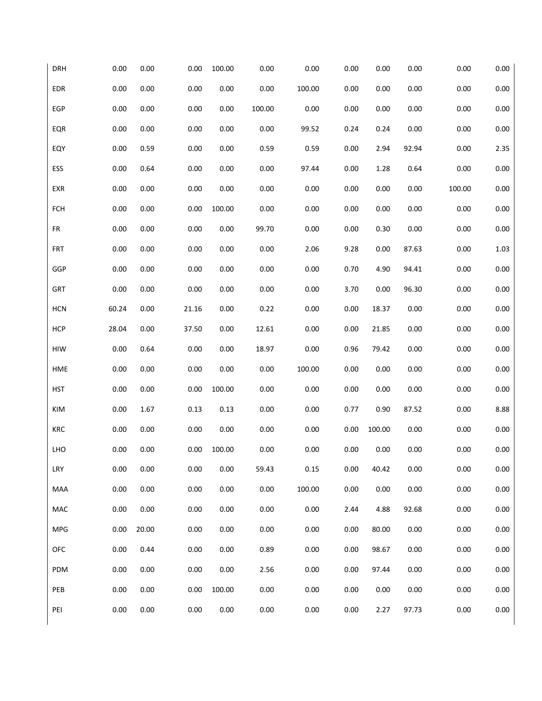| <b>DRH</b> | 0.00     | 0.00  | 0.00  | 100.00   | 0.00   | 0.00     | 0.00 | 0.00   | 0.00  | 0.00   | 0.00     |
|------------|----------|-------|-------|----------|--------|----------|------|--------|-------|--------|----------|
| EDR        | 0.00     | 0.00  | 0.00  | 0.00     | 0.00   | 100.00   | 0.00 | 0.00   | 0.00  | 0.00   | 0.00     |
| EGP        | 0.00     | 0.00  | 0.00  | 0.00     | 100.00 | 0.00     | 0.00 | 0.00   | 0.00  | 0.00   | 0.00     |
| EQR        | 0.00     | 0.00  | 0.00  | 0.00     | 0.00   | 99.52    | 0.24 | 0.24   | 0.00  | 0.00   | 0.00     |
| EQY        | 0.00     | 0.59  | 0.00  | 0.00     | 0.59   | 0.59     | 0.00 | 2.94   | 92.94 | 0.00   | 2.35     |
| ESS        | 0.00     | 0.64  | 0.00  | $0.00\,$ | 0.00   | 97.44    | 0.00 | 1.28   | 0.64  | 0.00   | 0.00     |
| EXR        | 0.00     | 0.00  | 0.00  | 0.00     | 0.00   | $0.00\,$ | 0.00 | 0.00   | 0.00  | 100.00 | 0.00     |
| FCH        | 0.00     | 0.00  | 0.00  | 100.00   | 0.00   | 0.00     | 0.00 | 0.00   | 0.00  | 0.00   | 0.00     |
| FR         | 0.00     | 0.00  | 0.00  | 0.00     | 99.70  | 0.00     | 0.00 | 0.30   | 0.00  | 0.00   | 0.00     |
| <b>FRT</b> | 0.00     | 0.00  | 0.00  | 0.00     | 0.00   | 2.06     | 9.28 | 0.00   | 87.63 | 0.00   | 1.03     |
| GGP        | 0.00     | 0.00  | 0.00  | 0.00     | 0.00   | 0.00     | 0.70 | 4.90   | 94.41 | 0.00   | 0.00     |
| GRT        | 0.00     | 0.00  | 0.00  | 0.00     | 0.00   | 0.00     | 3.70 | 0.00   | 96.30 | 0.00   | 0.00     |
| <b>HCN</b> | 60.24    | 0.00  | 21.16 | 0.00     | 0.22   | 0.00     | 0.00 | 18.37  | 0.00  | 0.00   | 0.00     |
| <b>HCP</b> | 28.04    | 0.00  | 37.50 | 0.00     | 12.61  | 0.00     | 0.00 | 21.85  | 0.00  | 0.00   | 0.00     |
| HIW        | 0.00     | 0.64  | 0.00  | 0.00     | 18.97  | 0.00     | 0.96 | 79.42  | 0.00  | 0.00   | 0.00     |
| HME        | $0.00\,$ | 0.00  | 0.00  | 0.00     | 0.00   | 100.00   | 0.00 | 0.00   | 0.00  | 0.00   | 0.00     |
| <b>HST</b> | 0.00     | 0.00  | 0.00  | 100.00   | 0.00   | 0.00     | 0.00 | 0.00   | 0.00  | 0.00   | 0.00     |
| KIM        | 0.00     | 1.67  | 0.13  | 0.13     | 0.00   | 0.00     | 0.77 | 0.90   | 87.52 | 0.00   | 8.88     |
| KRC        | 0.00     | 0.00  | 0.00  | $0.00\,$ | 0.00   | 0.00     | 0.00 | 100.00 | 0.00  | 0.00   | 0.00     |
| LHO        | 0.00     | 0.00  | 0.00  | 100.00   | 0.00   | 0.00     | 0.00 | 0.00   | 0.00  | 0.00   | 0.00     |
| LRY        | 0.00     | 0.00  | 0.00  | 0.00     | 59.43  | 0.15     | 0.00 | 40.42  | 0.00  | 0.00   | 0.00     |
| MAA        | 0.00     | 0.00  | 0.00  | 0.00     | 0.00   | 100.00   | 0.00 | 0.00   | 0.00  | 0.00   | 0.00     |
| MAC        | 0.00     | 0.00  | 0.00  | 0.00     | 0.00   | 0.00     | 2.44 | 4.88   | 92.68 | 0.00   | 0.00     |
| <b>MPG</b> | 0.00     | 20.00 | 0.00  | 0.00     | 0.00   | 0.00     | 0.00 | 80.00  | 0.00  | 0.00   | 0.00     |
| OFC        | 0.00     | 0.44  | 0.00  | 0.00     | 0.89   | 0.00     | 0.00 | 98.67  | 0.00  | 0.00   | 0.00     |
| PDM        | 0.00     | 0.00  | 0.00  | 0.00     | 2.56   | 0.00     | 0.00 | 97.44  | 0.00  | 0.00   | 0.00     |
| PEB        | 0.00     | 0.00  | 0.00  | 100.00   | 0.00   | 0.00     | 0.00 | 0.00   | 0.00  | 0.00   | 0.00     |
| PEI        | 0.00     | 0.00  | 0.00  | $0.00\,$ | 0.00   | 0.00     | 0.00 | 2.27   | 97.73 | 0.00   | $0.00\,$ |
|            |          |       |       |          |        |          |      |        |       |        |          |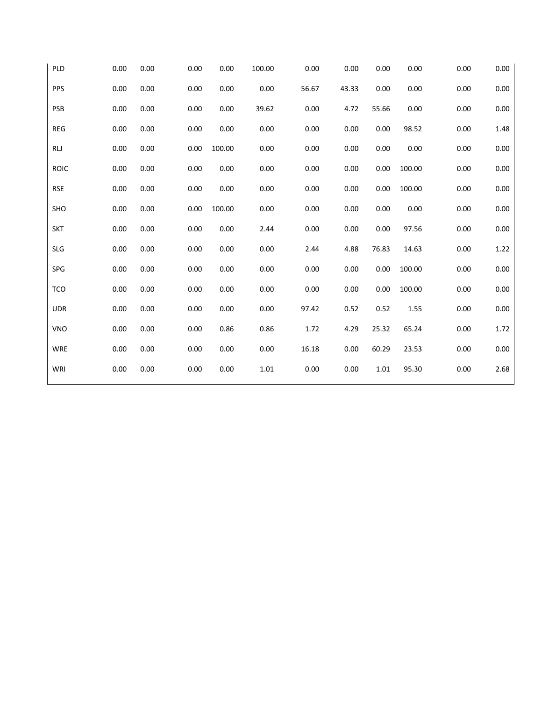| PLD         | 0.00 | 0.00 | 0.00 | 0.00   | 100.00   | 0.00  | 0.00  | 0.00  | 0.00   | 0.00 | 0.00 |
|-------------|------|------|------|--------|----------|-------|-------|-------|--------|------|------|
| <b>PPS</b>  | 0.00 | 0.00 | 0.00 | 0.00   | 0.00     | 56.67 | 43.33 | 0.00  | 0.00   | 0.00 | 0.00 |
| PSB         | 0.00 | 0.00 | 0.00 | 0.00   | 39.62    | 0.00  | 4.72  | 55.66 | 0.00   | 0.00 | 0.00 |
| <b>REG</b>  | 0.00 | 0.00 | 0.00 | 0.00   | 0.00     | 0.00  | 0.00  | 0.00  | 98.52  | 0.00 | 1.48 |
| <b>RLJ</b>  | 0.00 | 0.00 | 0.00 | 100.00 | 0.00     | 0.00  | 0.00  | 0.00  | 0.00   | 0.00 | 0.00 |
| <b>ROIC</b> | 0.00 | 0.00 | 0.00 | 0.00   | 0.00     | 0.00  | 0.00  | 0.00  | 100.00 | 0.00 | 0.00 |
| <b>RSE</b>  | 0.00 | 0.00 | 0.00 | 0.00   | 0.00     | 0.00  | 0.00  | 0.00  | 100.00 | 0.00 | 0.00 |
| SHO         | 0.00 | 0.00 | 0.00 | 100.00 | 0.00     | 0.00  | 0.00  | 0.00  | 0.00   | 0.00 | 0.00 |
| <b>SKT</b>  | 0.00 | 0.00 | 0.00 | 0.00   | 2.44     | 0.00  | 0.00  | 0.00  | 97.56  | 0.00 | 0.00 |
| <b>SLG</b>  | 0.00 | 0.00 | 0.00 | 0.00   | 0.00     | 2.44  | 4.88  | 76.83 | 14.63  | 0.00 | 1.22 |
| SPG         | 0.00 | 0.00 | 0.00 | 0.00   | 0.00     | 0.00  | 0.00  | 0.00  | 100.00 | 0.00 | 0.00 |
| <b>TCO</b>  | 0.00 | 0.00 | 0.00 | 0.00   | 0.00     | 0.00  | 0.00  | 0.00  | 100.00 | 0.00 | 0.00 |
| <b>UDR</b>  | 0.00 | 0.00 | 0.00 | 0.00   | 0.00     | 97.42 | 0.52  | 0.52  | 1.55   | 0.00 | 0.00 |
| VNO         | 0.00 | 0.00 | 0.00 | 0.86   | 0.86     | 1.72  | 4.29  | 25.32 | 65.24  | 0.00 | 1.72 |
| <b>WRE</b>  | 0.00 | 0.00 | 0.00 | 0.00   | 0.00     | 16.18 | 0.00  | 60.29 | 23.53  | 0.00 | 0.00 |
| WRI         | 0.00 | 0.00 | 0.00 | 0.00   | $1.01\,$ | 0.00  | 0.00  | 1.01  | 95.30  | 0.00 | 2.68 |
|             |      |      |      |        |          |       |       |       |        |      |      |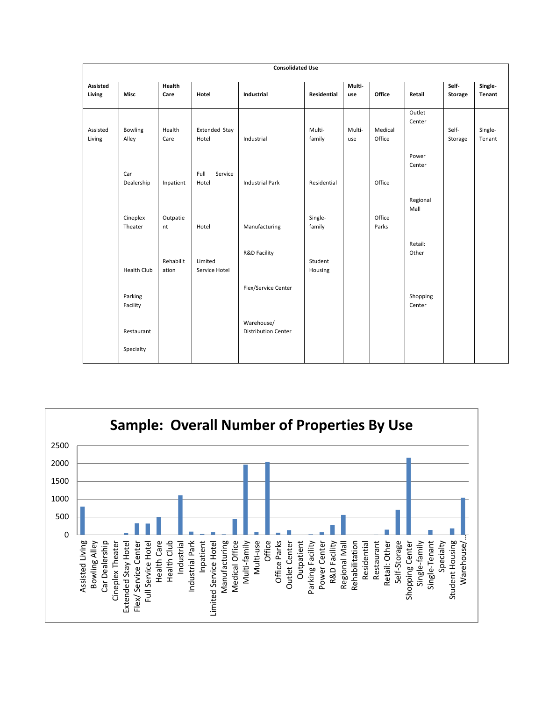|                           | <b>Consolidated Use</b> |                    |                          |                                          |                    |               |                 |                    |                  |                          |  |
|---------------------------|-------------------------|--------------------|--------------------------|------------------------------------------|--------------------|---------------|-----------------|--------------------|------------------|--------------------------|--|
| <b>Assisted</b><br>Living | <b>Misc</b>             | Health<br>Care     | Hotel                    | Industrial                               | Residential        | Multi-<br>use | Office          | Retail             | Self-<br>Storage | Single-<br><b>Tenant</b> |  |
| Assisted                  | Bowling                 | Health             | <b>Extended Stay</b>     |                                          | Multi-             | Multi-        | Medical         | Outlet<br>Center   | Self-            | Single-                  |  |
| Living                    | Alley                   | Care               | Hotel                    | Industrial                               | family             | use           | Office          |                    | Storage          | Tenant                   |  |
|                           |                         |                    |                          |                                          |                    |               |                 | Power<br>Center    |                  |                          |  |
|                           | Car<br>Dealership       | Inpatient          | Full<br>Service<br>Hotel | <b>Industrial Park</b>                   | Residential        |               | Office          |                    |                  |                          |  |
|                           |                         |                    |                          |                                          |                    |               |                 | Regional<br>Mall   |                  |                          |  |
|                           | Cineplex<br>Theater     | Outpatie<br>nt     | Hotel                    | Manufacturing                            | Single-<br>family  |               | Office<br>Parks |                    |                  |                          |  |
|                           |                         |                    |                          | <b>R&amp;D Facility</b>                  |                    |               |                 | Retail:<br>Other   |                  |                          |  |
|                           | <b>Health Club</b>      | Rehabilit<br>ation | Limited<br>Service Hotel |                                          | Student<br>Housing |               |                 |                    |                  |                          |  |
|                           | Parking<br>Facility     |                    |                          | Flex/Service Center                      |                    |               |                 | Shopping<br>Center |                  |                          |  |
|                           | Restaurant              |                    |                          | Warehouse/<br><b>Distribution Center</b> |                    |               |                 |                    |                  |                          |  |
|                           | Specialty               |                    |                          |                                          |                    |               |                 |                    |                  |                          |  |

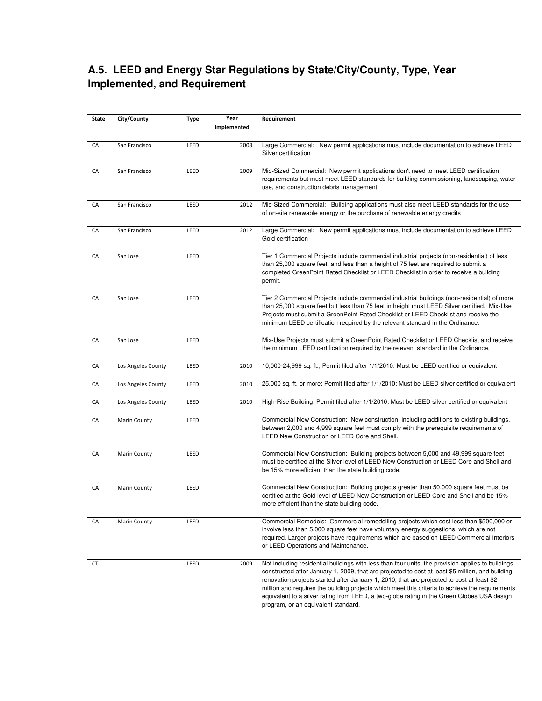#### **A.5. LEED and Energy Star Regulations by State/City/County, Type, Year Implemented, and Requirement**

| State | City/County         | <b>Type</b> | Year        | Requirement                                                                                                                                                                                                                                                                                                                                                                                                                                                                                                                                 |
|-------|---------------------|-------------|-------------|---------------------------------------------------------------------------------------------------------------------------------------------------------------------------------------------------------------------------------------------------------------------------------------------------------------------------------------------------------------------------------------------------------------------------------------------------------------------------------------------------------------------------------------------|
|       |                     |             | Implemented |                                                                                                                                                                                                                                                                                                                                                                                                                                                                                                                                             |
| CA    | San Francisco       | LEED        | 2008        | Large Commercial: New permit applications must include documentation to achieve LEED<br>Silver certification                                                                                                                                                                                                                                                                                                                                                                                                                                |
| CA    | San Francisco       | LEED        | 2009        | Mid-Sized Commercial: New permit applications don't need to meet LEED certification<br>requirements but must meet LEED standards for building commissioning, landscaping, water<br>use, and construction debris management.                                                                                                                                                                                                                                                                                                                 |
| CA    | San Francisco       | LEED        | 2012        | Mid-Sized Commercial: Building applications must also meet LEED standards for the use<br>of on-site renewable energy or the purchase of renewable energy credits                                                                                                                                                                                                                                                                                                                                                                            |
| CA    | San Francisco       | LEED        | 2012        | Large Commercial: New permit applications must include documentation to achieve LEED<br>Gold certification                                                                                                                                                                                                                                                                                                                                                                                                                                  |
| CA    | San Jose            | LEED        |             | Tier 1 Commercial Projects include commercial industrial projects (non-residential) of less<br>than 25,000 square feet, and less than a height of 75 feet are required to submit a<br>completed GreenPoint Rated Checklist or LEED Checklist in order to receive a building<br>permit.                                                                                                                                                                                                                                                      |
| CA    | San Jose            | LEED        |             | Tier 2 Commercial Projects include commercial industrial buildings (non-residential) of more<br>than 25,000 square feet but less than 75 feet in height must LEED Silver certified. Mix-Use<br>Projects must submit a GreenPoint Rated Checklist or LEED Checklist and receive the<br>minimum LEED certification required by the relevant standard in the Ordinance.                                                                                                                                                                        |
| CA    | San Jose            | LEED        |             | Mix-Use Projects must submit a GreenPoint Rated Checklist or LEED Checklist and receive<br>the minimum LEED certification required by the relevant standard in the Ordinance.                                                                                                                                                                                                                                                                                                                                                               |
| CA    | Los Angeles County  | LEED        | 2010        | 10,000-24,999 sq. ft.; Permit filed after 1/1/2010: Must be LEED certified or equivalent                                                                                                                                                                                                                                                                                                                                                                                                                                                    |
| CA    | Los Angeles County  | LEED        | 2010        | 25,000 sq. ft. or more; Permit filed after 1/1/2010: Must be LEED silver certified or equivalent                                                                                                                                                                                                                                                                                                                                                                                                                                            |
| CA    | Los Angeles County  | LEED        | 2010        | High-Rise Building; Permit filed after 1/1/2010: Must be LEED silver certified or equivalent                                                                                                                                                                                                                                                                                                                                                                                                                                                |
| CA    | <b>Marin County</b> | LEED        |             | Commercial New Construction: New construction, including additions to existing buildings,<br>between 2,000 and 4,999 square feet must comply with the prerequisite requirements of<br>LEED New Construction or LEED Core and Shell.                                                                                                                                                                                                                                                                                                         |
| CA    | <b>Marin County</b> | LEED        |             | Commercial New Construction: Building projects between 5,000 and 49,999 square feet<br>must be certified at the Silver level of LEED New Construction or LEED Core and Shell and<br>be 15% more efficient than the state building code.                                                                                                                                                                                                                                                                                                     |
| CA    | <b>Marin County</b> | LEED        |             | Commercial New Construction: Building projects greater than 50,000 square feet must be<br>certified at the Gold level of LEED New Construction or LEED Core and Shell and be 15%<br>more efficient than the state building code.                                                                                                                                                                                                                                                                                                            |
| CA    | <b>Marin County</b> | LEED        |             | Commercial Remodels: Commercial remodelling projects which cost less than \$500,000 or<br>involve less than 5,000 square feet have voluntary energy suggestions, which are not<br>required. Larger projects have requirements which are based on LEED Commercial Interiors<br>or LEED Operations and Maintenance.                                                                                                                                                                                                                           |
| CT    |                     | LEED        | 2009        | Not including residential buildings with less than four units, the provision applies to buildings<br>constructed after January 1, 2009, that are projected to cost at least \$5 million, and building<br>renovation projects started after January 1, 2010, that are projected to cost at least \$2<br>million and requires the building projects which meet this criteria to achieve the requirements<br>equivalent to a silver rating from LEED, a two-globe rating in the Green Globes USA design<br>program, or an equivalent standard. |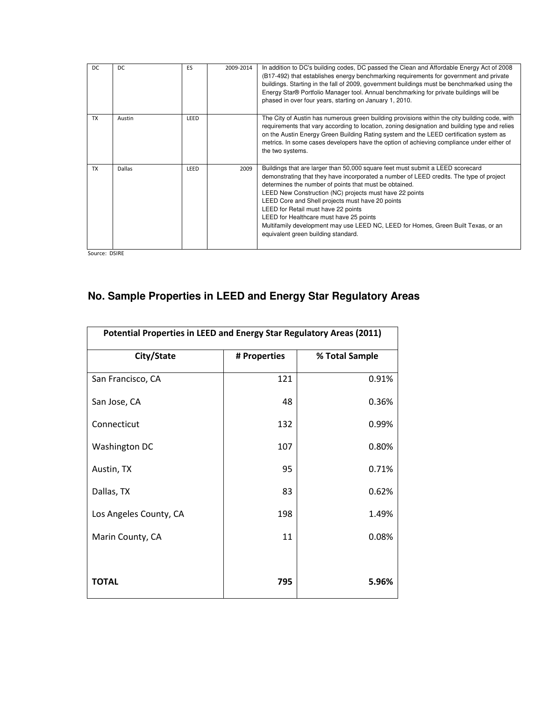| DC.       | DC.    | ES   | 2009-2014 | In addition to DC's building codes, DC passed the Clean and Affordable Energy Act of 2008<br>(B17-492) that establishes energy benchmarking requirements for government and private<br>buildings. Starting in the fall of 2009, government buildings must be benchmarked using the<br>Energy Star® Portfolio Manager tool. Annual benchmarking for private buildings will be<br>phased in over four years, starting on January 1, 2010.                                                                                                                          |
|-----------|--------|------|-----------|------------------------------------------------------------------------------------------------------------------------------------------------------------------------------------------------------------------------------------------------------------------------------------------------------------------------------------------------------------------------------------------------------------------------------------------------------------------------------------------------------------------------------------------------------------------|
| <b>TX</b> | Austin | LEED |           | The City of Austin has numerous green building provisions within the city building code, with<br>requirements that vary according to location, zoning designation and building type and relies<br>on the Austin Energy Green Building Rating system and the LEED certification system as<br>metrics. In some cases developers have the option of achieving compliance under either of<br>the two systems.                                                                                                                                                        |
| <b>TX</b> | Dallas | LEED | 2009      | Buildings that are larger than 50,000 square feet must submit a LEED scorecard<br>demonstrating that they have incorporated a number of LEED credits. The type of project<br>determines the number of points that must be obtained.<br>LEED New Construction (NC) projects must have 22 points<br>LEED Core and Shell projects must have 20 points<br>LEED for Retail must have 22 points<br>LEED for Healthcare must have 25 points<br>Multifamily development may use LEED NC, LEED for Homes, Green Built Texas, or an<br>equivalent green building standard. |

Source: DSIRE

## **No. Sample Properties in LEED and Energy Star Regulatory Areas**

<span id="page-39-0"></span>

| Potential Properties in LEED and Energy Star Regulatory Areas (2011) |              |                |  |  |  |  |  |  |  |
|----------------------------------------------------------------------|--------------|----------------|--|--|--|--|--|--|--|
| City/State                                                           | # Properties | % Total Sample |  |  |  |  |  |  |  |
| San Francisco, CA                                                    | 121          | 0.91%          |  |  |  |  |  |  |  |
| San Jose, CA                                                         | 48           | 0.36%          |  |  |  |  |  |  |  |
| Connecticut                                                          | 132          | 0.99%          |  |  |  |  |  |  |  |
| Washington DC                                                        | 107          | 0.80%          |  |  |  |  |  |  |  |
| Austin, TX                                                           | 95           | 0.71%          |  |  |  |  |  |  |  |
| Dallas, TX                                                           | 83           | 0.62%          |  |  |  |  |  |  |  |
| Los Angeles County, CA                                               | 198          | 1.49%          |  |  |  |  |  |  |  |
| Marin County, CA                                                     | 11           | 0.08%          |  |  |  |  |  |  |  |
|                                                                      |              |                |  |  |  |  |  |  |  |
| <b>TOTAL</b>                                                         | 795          | 5.96%          |  |  |  |  |  |  |  |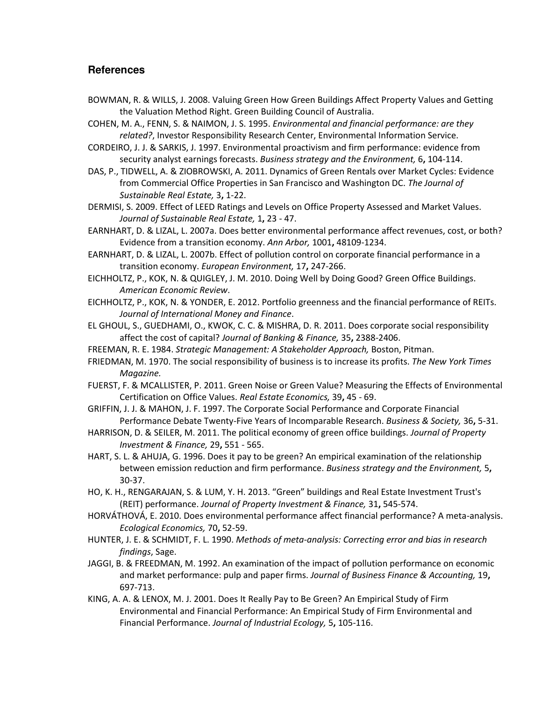#### **References**

BOWMAN, R. & WILLS, J. 2008. Valuing Green How Green Buildings Affect Property Values and Getting the Valuation Method Right. Green Building Council of Australia.

<span id="page-40-7"></span>COHEN, M. A., FENN, S. & NAIMON, J. S. 1995. *Environmental and financial performance: are they related?*, Investor Responsibility Research Center, Environmental Information Service.

CORDEIRO, J. J. & SARKIS, J. 1997. Environmental proactivism and firm performance: evidence from security analyst earnings forecasts. *Business strategy and the Environment,* 6**,** 104-114.

DAS, P., TIDWELL, A. & ZIOBROWSKI, A. 2011. Dynamics of Green Rentals over Market Cycles: Evidence from Commercial Office Properties in San Francisco and Washington DC. *The Journal of Sustainable Real Estate,* 3**,** 1-22.

DERMISI, S. 2009. Effect of LEED Ratings and Levels on Office Property Assessed and Market Values. *Journal of Sustainable Real Estate,* 1**,** 23 - 47.

<span id="page-40-6"></span>EARNHART, D. & LIZAL, L. 2007a. Does better environmental performance affect revenues, cost, or both? Evidence from a transition economy. *Ann Arbor,* 1001**,** 48109-1234.

<span id="page-40-9"></span>EARNHART, D. & LIZAL, L. 2007b. Effect of pollution control on corporate financial performance in a transition economy. *European Environment,* 17**,** 247-266.

<span id="page-40-0"></span>EICHHOLTZ, P., KOK, N. & QUIGLEY, J. M. 2010. Doing Well by Doing Good? Green Office Buildings. *American Economic Review*.

<span id="page-40-3"></span>EICHHOLTZ, P., KOK, N. & YONDER, E. 2012. Portfolio greenness and the financial performance of REITs. *Journal of International Money and Finance*.

EL GHOUL, S., GUEDHAMI, O., KWOK, C. C. & MISHRA, D. R. 2011. Does corporate social responsibility affect the cost of capital? *Journal of Banking & Finance,* 35**,** 2388-2406.

- <span id="page-40-1"></span>FREEMAN, R. E. 1984. *Strategic Management: A Stakeholder Approach,* Boston, Pitman.
- FRIEDMAN, M. 1970. The social responsibility of business is to increase its profits. *The New York Times Magazine.*
- FUERST, F. & MCALLISTER, P. 2011. Green Noise or Green Value? Measuring the Effects of Environmental Certification on Office Values. *Real Estate Economics,* 39**,** 45 - 69.
- <span id="page-40-2"></span>GRIFFIN, J. J. & MAHON, J. F. 1997. The Corporate Social Performance and Corporate Financial Performance Debate Twenty-Five Years of Incomparable Research. *Business & Society,* 36**,** 5-31.
- HARRISON, D. & SEILER, M. 2011. The political economy of green office buildings. *Journal of Property Investment & Finance,* 29**,** 551 - 565.
- <span id="page-40-5"></span>HART, S. L. & AHUJA, G. 1996. Does it pay to be green? An empirical examination of the relationship between emission reduction and firm performance. *Business strategy and the Environment,* 5**,** 30-37.

<span id="page-40-8"></span>HO, K. H., RENGARAJAN, S. & LUM, Y. H. 2013. "Green" buildings and Real Estate Investment Trust's (REIT) performance. *Journal of Property Investment & Finance,* 31**,** 545-574.

- HORVÁTHOVÁ, E. 2010. Does environmental performance affect financial performance? A meta-analysis. *Ecological Economics,* 70**,** 52-59.
- HUNTER, J. E. & SCHMIDT, F. L. 1990. *Methods of meta-analysis: Correcting error and bias in research findings*, Sage.
- JAGGI, B. & FREEDMAN, M. 1992. An examination of the impact of pollution performance on economic and market performance: pulp and paper firms. *Journal of Business Finance & Accounting,* 19**,** 697-713.
- <span id="page-40-4"></span>KING, A. A. & LENOX, M. J. 2001. Does It Really Pay to Be Green? An Empirical Study of Firm Environmental and Financial Performance: An Empirical Study of Firm Environmental and Financial Performance. *Journal of Industrial Ecology,* 5**,** 105-116.